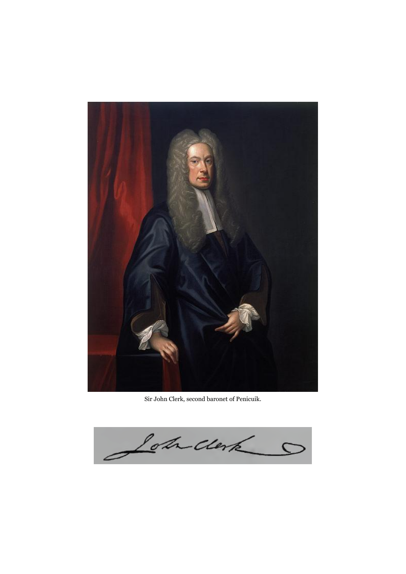

Sir John Clerk, second baronet of Penicuik.

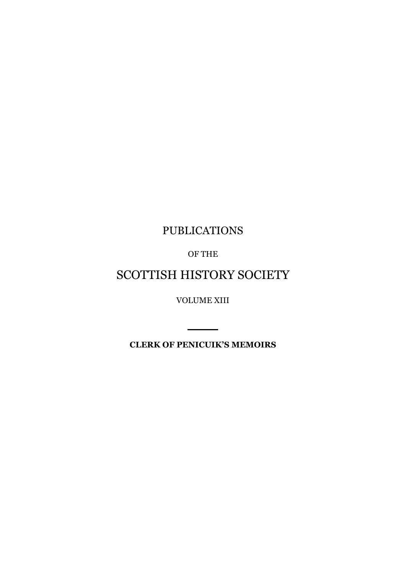### PUBLICATIONS

OF THE

### SCOTTISH HISTORY SOCIETY

VOLUME XIII

**CLERK OF PENICUIK'S MEMOIRS**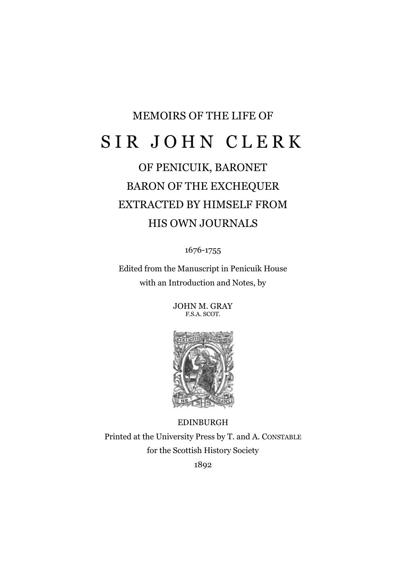# MEMOIRS OF THE LIFE OF SIR JOHN CLERK

## OF PENICUIK, BARONET BARON OF THE EXCHEQUER EXTRACTED BY HIMSELF FROM HIS OWN JOURNALS

1676-1755

Edited from the Manuscript in Penicuik House with an Introduction and Notes, by

> JOHN M. GRAY F.S.A. SCOT.



EDINBURGH Printed at the University Press by T. and A. CONSTABLE for the Scottish History Society 1892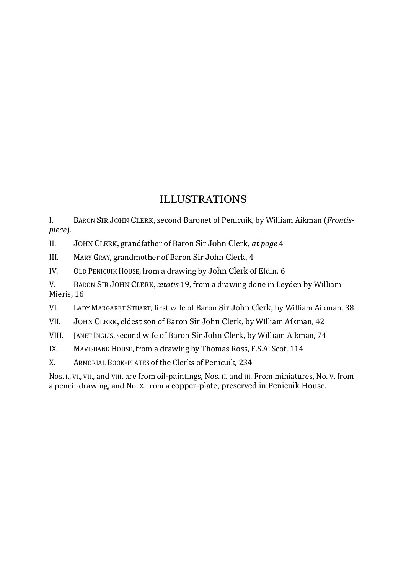### ILLUSTRATIONS

I. BARON SIR JOHN CLERK, second Baronet of Penicuik, by William Aikman (*Frontispiece*).

II. JOHN CLERK, grandfather of Baron Sir John Clerk, *at page* 4

III. MARY GRAY, grandmother of Baron Sir John Clerk, 4

IV. OLD PENICUIK HOUSE, from a drawing by John Clerk of Eldin, 6

V. BARON SIR JOHN CLERK, *ætatis* 19, from a drawing done in Leyden by William Mieris, 16

VI. LADY MARGARET STUART, first wife of Baron Sir John Clerk, by William Aikman, 38

VII. JOHN CLERK, eldest son of Baron Sir John Clerk, by William Aikman, 42

VIII. JANET INGLIS, second wife of Baron Sir John Clerk, by William Aikman, 74

IX. MAVISBANK HOUSE, from a drawing by Thomas Ross, F.S.A. Scot, 114

X. ARMORIAL BOOK-PLATES of the Clerks of Penicuik, 234

Nos. I., VI., VII., and VIII. are from oil-paintings, Nos. II. and III. From miniatures, No. V. from a pencil-drawing, and No. X. from a copper-plate, preserved in Penicuik House.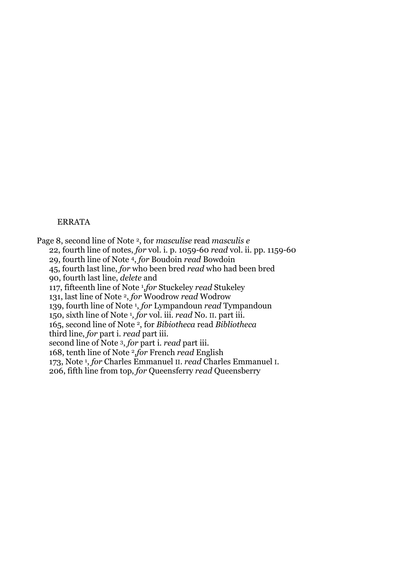#### ERRATA

Page 8, second line of Note 2, for *masculise* read *masculis e* 22, fourth line of notes, *for* vol. i. p. 1059-60 *read* vol. ii. pp. 1159-60 29, fourth line of Note 4, *for* Boudoin *read* Bowdoin 45, fourth last line, *for* who been bred *read* who had been bred 90, fourth last line, *delete* and 117, fifteenth line of Note <sup>1</sup> *,for* Stuckeley *read* Stukeley 131, last line of Note 2, *for* Woodrow *read* Wodrow 139, fourth line of Note <sup>1</sup> , *for* Lympandoun *read* Tympandoun 150, sixth line of Note <sup>1</sup> *, for* vol. iii. *read* No. II. part iii. 165, second line of Note 2, for *Bibiotheca* read *Bibliotheca* third line, *for* part i. *read* part iii. second line of Note 3, *for* part i. *read* part iii. 168, tenth line of Note 2*,for* French *read* English 173, Note <sup>1</sup> , *for* Charles Emmanuel II. *read* Charles Emmanuel I. 206, fifth line from top, *for* Queensferry *read* Queensberry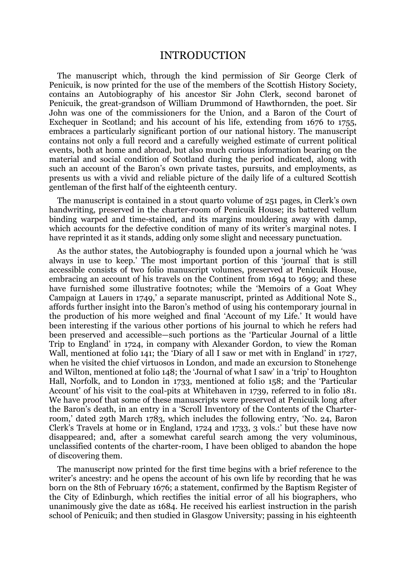### INTRODUCTION

The manuscript which, through the kind permission of Sir George Clerk of Penicuik, is now printed for the use of the members of the Scottish History Society, contains an Autobiography of his ancestor Sir John Clerk, second baronet of Penicuik, the great-grandson of William Drummond of Hawthornden, the poet. Sir John was one of the commissioners for the Union, and a Baron of the Court of Exchequer in Scotland; and his account of his life, extending from 1676 to 1755, embraces a particularly significant portion of our national history. The manuscript contains not only a full record and a carefully weighed estimate of current political events, both at home and abroad, but also much curious information bearing on the material and social condition of Scotland during the period indicated, along with such an account of the Baron's own private tastes, pursuits, and employments, as presents us with a vivid and reliable picture of the daily life of a cultured Scottish gentleman of the first half of the eighteenth century.

The manuscript is contained in a stout quarto volume of 251 pages, in Clerk's own handwriting, preserved in the charter-room of Penicuik House; its battered vellum binding warped and time-stained, and its margins mouldering away with damp, which accounts for the defective condition of many of its writer's marginal notes. I have reprinted it as it stands, adding only some slight and necessary punctuation.

As the author states, the Autobiography is founded upon a journal which he 'was always in use to keep.' The most important portion of this 'journal' that is still accessible consists of two folio manuscript volumes, preserved at Penicuik House, embracing an account of his travels on the Continent from 1694 to 1699; and these have furnished some illustrative footnotes; while the 'Memoirs of a Goat Whey Campaign at Lauers in 1749,' a separate manuscript, printed as Additional Note S., affords further insight into the Baron's method of using his contemporary journal in the production of his more weighed and final 'Account of my Life.' It would have been interesting if the various other portions of his journal to which he refers had been preserved and accessible—such portions as the 'Particular Journal of a little Trip to England' in 1724, in company with Alexander Gordon, to view the Roman Wall, mentioned at folio 141; the 'Diary of all I saw or met with in England' in 1727, when he visited the chief virtuosos in London, and made an excursion to Stonehenge and Wilton, mentioned at folio 148; the 'Journal of what I saw' in a 'trip' to Houghton Hall, Norfolk, and to London in 1733, mentioned at folio 158; and the 'Particular Account' of his visit to the coal-pits at Whitehaven in 1739, referred to in folio 181. We have proof that some of these manuscripts were preserved at Penicuik long after the Baron's death, in an entry in a 'Scroll Inventory of the Contents of the Charterroom,' dated 29th March 1783, which includes the following entry, 'No. 24, Baron Clerk's Travels at home or in England, 1724 and 1733, 3 vols.:' but these have now disappeared; and, after a somewhat careful search among the very voluminous, unclassified contents of the charter-room, I have been obliged to abandon the hope of discovering them.

The manuscript now printed for the first time begins with a brief reference to the writer's ancestry: and he opens the account of his own life by recording that he was born on the 8th of February 1676; a statement, confirmed by the Baptism Register of the City of Edinburgh, which rectifies the initial error of all his biographers, who unanimously give the date as 1684. He received his earliest instruction in the parish school of Penicuik; and then studied in Glasgow University; passing in his eighteenth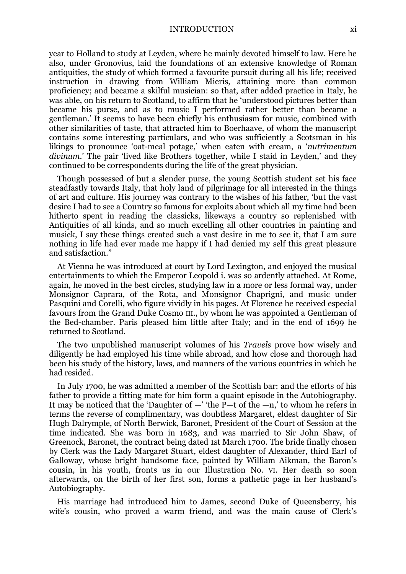year to Holland to study at Leyden, where he mainly devoted himself to law. Here he also, under Gronovius, laid the foundations of an extensive knowledge of Roman antiquities, the study of which formed a favourite pursuit during all his life; received instruction in drawing from William Mieris, attaining more than common proficiency; and became a skilful musician: so that, after added practice in Italy, he was able, on his return to Scotland, to affirm that he 'understood pictures better than became his purse, and as to music I performed rather better than became a gentleman.' It seems to have been chiefly his enthusiasm for music, combined with other similarities of taste, that attracted him to Boerhaave, of whom the manuscript contains some interesting particulars, and who was sufficiently a Scotsman in his likings to pronounce 'oat-meal potage,' when eaten with cream, a '*nutrimentum divinum*.' The pair 'lived like Brothers together, while I staid in Leyden,' and they continued to be correspondents during the life of the great physician.

Though possessed of but a slender purse, the young Scottish student set his face steadfastly towards Italy, that holy land of pilgrimage for all interested in the things of art and culture. His journey was contrary to the wishes of his father, 'but the vast desire I had to see a Country so famous for exploits about which all my time had been hitherto spent in reading the classicks, likeways a country so replenished with Antiquities of all kinds, and so much excelling all other countries in painting and musick, I say these things created such a vast desire in me to see it, that I am sure nothing in life had ever made me happy if I had denied my self this great pleasure and satisfaction."

At Vienna he was introduced at court by Lord Lexington, and enjoyed the musical entertainments to which the Emperor Leopold i. was so ardently attached. At Rome, again, he moved in the best circles, studying law in a more or less formal way, under Monsignor Caprara, of the Rota, and Monsignor Chaprigni, and music under Pasquini and Corelli, who figure vividly in his pages. At Florence he received especial favours from the Grand Duke Cosmo III., by whom he was appointed a Gentleman of the Bed-chamber. Paris pleased him little after Italy; and in the end of 1699 he returned to Scotland.

The two unpublished manuscript volumes of his *Travels* prove how wisely and diligently he had employed his time while abroad, and how close and thorough had been his study of the history, laws, and manners of the various countries in which he had resided.

In July 1700, he was admitted a member of the Scottish bar: and the efforts of his father to provide a fitting mate for him form a quaint episode in the Autobiography. It may be noticed that the 'Daughter of  $-$ ' the  $\overline{P}$ -t of the  $-n$ ,' to whom he refers in terms the reverse of complimentary, was doubtless Margaret, eldest daughter of Sir Hugh Dalrymple, of North Berwick, Baronet, President of the Court of Session at the time indicated. She was born in 1683, and was married to Sir John Shaw, of Greenock, Baronet, the contract being dated 1st March 1700. The bride finally chosen by Clerk was the Lady Margaret Stuart, eldest daughter of Alexander, third Earl of Galloway, whose bright handsome face, painted by William Aikman, the Baron's cousin, in his youth, fronts us in our Illustration No. VI. Her death so soon afterwards, on the birth of her first son, forms a pathetic page in her husband's Autobiography.

His marriage had introduced him to James, second Duke of Queensberry, his wife's cousin, who proved a warm friend, and was the main cause of Clerk's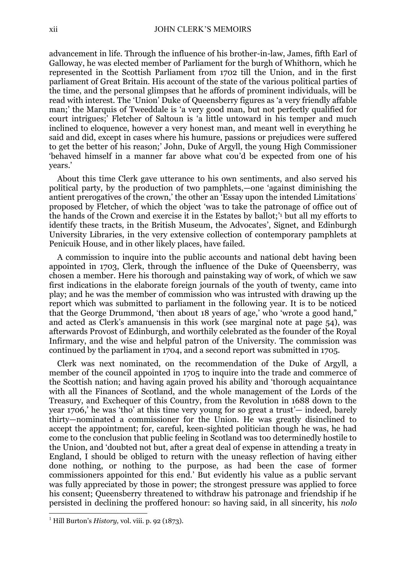advancement in life. Through the influence of his brother-in-law, James, fifth Earl of Galloway, he was elected member of Parliament for the burgh of Whithorn, which he represented in the Scottish Parliament from 1702 till the Union, and in the first parliament of Great Britain. His account of the state of the various political parties of the time, and the personal glimpses that he affords of prominent individuals, will be read with interest. The 'Union' Duke of Queensberry figures as 'a very friendly affable man;' the Marquis of Tweeddale is 'a very good man, but not perfectly qualified for court intrigues;' Fletcher of Saltoun is 'a little untoward in his temper and much inclined to eloquence, however a very honest man, and meant well in everything he said and did, except in cases where his humure, passions or prejudices were suffered to get the better of his reason;' John, Duke of Argyll, the young High Commissioner 'behaved himself in a manner far above what cou'd be expected from one of his years.'

About this time Clerk gave utterance to his own sentiments, and also served his political party, by the production of two pamphlets,—one 'against diminishing the antient prerogatives of the crown,' the other an 'Essay upon the intended Limitations' proposed by Fletcher, of which the object 'was to take the patronage of office out of the hands of the Crown and exercise it in the Estates by ballot;' <sup>1</sup> but all my efforts to identify these tracts, in the British Museum, the Advocates', Signet, and Edinburgh University Libraries, in the very extensive collection of contemporary pamphlets at Penicuik House, and in other likely places, have failed.

A commission to inquire into the public accounts and national debt having been appointed in 1703, Clerk, through the influence of the Duke of Queensberry, was chosen a member. Here his thorough and painstaking way of work, of which we saw first indications in the elaborate foreign journals of the youth of twenty, came into play; and he was the member of commission who was intrusted with drawing up the report which was submitted to parliament in the following year. It is to be noticed that the George Drummond, 'then about 18 years of age,' who 'wrote a good hand," and acted as Clerk's amanuensis in this work (see marginal note at page 54), was afterwards Provost of Edinburgh, and worthily celebrated as the founder of the Royal Infirmary, and the wise and helpful patron of the University. The commission was continued by the parliament in 1704, and a second report was submitted in 1705.

Clerk was next nominated, on the recommendation of the Duke of Argyll, a member of the council appointed in 1705 to inquire into the trade and commerce of the Scottish nation; and having again proved his ability and 'thorough acquaintance with all the Finances of Scotland, and the whole management of the Lords of the Treasury, and Exchequer of this Country, from the Revolution in 1688 down to the year 1706,' he was 'tho' at this time very young for so great a trust'— indeed, barely thirty—nominated a commissioner for the Union. He was greatly disinclined to accept the appointment; for, careful, keen-sighted politician though he was, he had come to the conclusion that public feeling in Scotland was too determinedly hostile to the Union, and 'doubted not but, after a great deal of expense in attending a treaty in England, I should be obliged to return with the uneasy reflection of having either done nothing, or nothing to the purpose, as had been the case of former commissioners appointed for this end.' But evidently his value as a public servant was fully appreciated by those in power; the strongest pressure was applied to force his consent; Queensberry threatened to withdraw his patronage and friendship if he persisted in declining the proffered honour: so having said, in all sincerity, his *nolo* 

1

<sup>1</sup> Hill Burton's *History,* vol. viii. p. 92 (1873).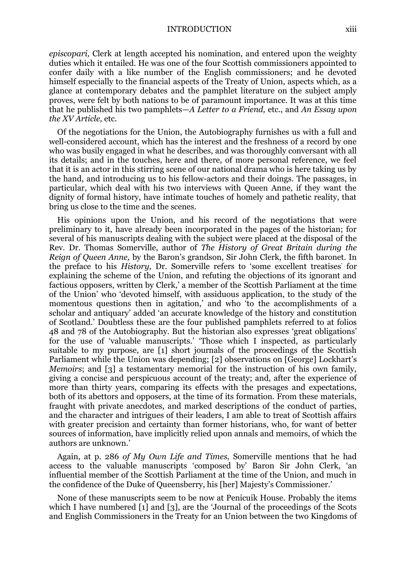*episcopari,* Clerk at length accepted his nomination, and entered upon the weighty duties which it entailed. He was one of the four Scottish commissioners appointed to confer daily with a like number of the English commissioners; and he devoted himself especially to the financial aspects of the Treaty of Union, aspects which, as a glance at contemporary debates and the pamphlet literature on the subject amply proves, were felt by both nations to be of paramount importance. It was at this time that he published his two pamphlets—*A Letter to a Friend,* etc., and *An Essay upon the XV Article,* etc.

Of the negotiations for the Union, the Autobiography furnishes us with a full and well-considered account, which has the interest and the freshness of a record by one who was busily engaged in what he describes, and was thoroughly conversant with all its details; and in the touches, here and there, of more personal reference, we feel that it is an actor in this stirring scene of our national drama who is here taking us by the hand, and introducing us to his fellow-actors and their doings. The passages, in particular, which deal with his two interviews with Queen Anne, if they want the dignity of formal history, have intimate touches of homely and pathetic reality, that bring us close to the time and the scenes.

His opinions upon the Union, and his record of the negotiations that were preliminary to it, have already been incorporated in the pages of the historian; for several of his manuscripts dealing with the subject were placed at the disposal of the Rev. Dr. Thomas Somerville, author of *The History of Great Britain during the Reign of Queen Anne,* by the Baron's grandson, Sir John Clerk, the fifth baronet. In the preface to his *History,* Dr. Somerville refers to 'some excellent treatises' for explaining the scheme of the Union, and refuting the objections of its ignorant and factious opposers, written by Clerk,' a member of the Scottish Parliament at the time of the Union' who 'devoted himself, with assiduous application, to the study of the momentous questions then in agitation,' and who 'to the accomplishments of a scholar and antiquary' added 'an accurate knowledge of the history and constitution of Scotland.' Doubtless these are the four published pamphlets referred to at folios 48 and 78 of the Autobiography. But the historian also expresses 'great obligations' for the use of 'valuable manuscripts.' 'Those which I inspected, as particularly suitable to my purpose, are [1] short journals of the proceedings of the Scottish Parliament while the Union was depending; [2] observations on [George] Lockhart's *Memoirs*; and [3] a testamentary memorial for the instruction of his own family, giving a concise and perspicuous account of the treaty; and, after the experience of more than thirty years, comparing its effects with the presages and expectations, both of its abettors and opposers, at the time of its formation. From these materials, fraught with private anecdotes, and marked descriptions of the conduct of parties, and the character and intrigues of their leaders, I am able to treat of Scottish affairs with greater precision and certainty than former historians, who, for want of better sources of information, have implicitly relied upon annals and memoirs, of which the authors are unknown.'

Again, at p. 286 *of My Own Life and Times,* Somerville mentions that he had access to the valuable manuscripts 'composed by' Baron Sir John Clerk, 'an influential member of the Scottish Parliament at the time of the Union, and much in the confidence of the Duke of Queensberry, his [her] Majesty's Commissioner.'

None of these manuscripts seem to be now at Penicuik House. Probably the items which I have numbered [1] and [3], are the 'Journal of the proceedings of the Scots and English Commissioners in the Treaty for an Union between the two Kingdoms of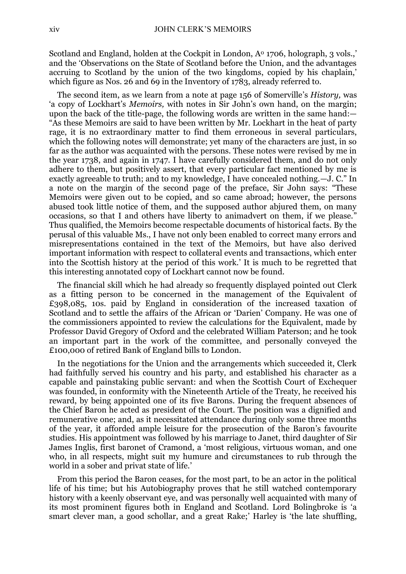Scotland and England, holden at the Cockpit in London, Aº 1706, holograph, 3 vols.,' and the 'Observations on the State of Scotland before the Union, and the advantages accruing to Scotland by the union of the two kingdoms, copied by his chaplain,' which figure as Nos. 26 and 69 in the Inventory of 1783, already referred to.

The second item, as we learn from a note at page 156 of Somerville's *History,* was 'a copy of Lockhart's *Memoirs,* with notes in Sir John's own hand, on the margin; upon the back of the title-page, the following words are written in the same hand:— "As these Memoirs are said to have been written by Mr. Lockhart in the heat of party rage, it is no extraordinary matter to find them erroneous in several particulars, which the following notes will demonstrate; yet many of the characters are just, in so far as the author was acquainted with the persons. These notes were revised by me in the year 1738, and again in 1747. I have carefully considered them, and do not only adhere to them, but positively assert, that every particular fact mentioned by me is exactly agreeable to truth; and to my knowledge, I have concealed nothing.—J. C." In a note on the margin of the second page of the preface, Sir John says: "These Memoirs were given out to be copied, and so came abroad; however, the persons abused took little notice of them, and the supposed author abjured them, on many occasions, so that I and others have liberty to animadvert on them, if we please." Thus qualified, the Memoirs become respectable documents of historical facts. By the perusal of this valuable Ms., I have not only been enabled to correct many errors and misrepresentations contained in the text of the Memoirs, but have also derived important information with respect to collateral events and transactions, which enter into the Scottish history at the period of this work.' It is much to be regretted that this interesting annotated copy of Lockhart cannot now be found.

The financial skill which he had already so frequently displayed pointed out Clerk as a fitting person to be concerned in the management of the Equivalent of £398,085, 10s. paid by England in consideration of the increased taxation of Scotland and to settle the affairs of the African or 'Darien' Company. He was one of the commissioners appointed to review the calculations for the Equivalent, made by Professor David Gregory of Oxford and the celebrated William Paterson; and he took an important part in the work of the committee, and personally conveyed the £100,000 of retired Bank of England bills to London.

In the negotiations for the Union and the arrangements which succeeded it, Clerk had faithfully served his country and his party, and established his character as a capable and painstaking public servant: and when the Scottish Court of Exchequer was founded, in conformity with the Nineteenth Article of the Treaty, he received his reward, by being appointed one of its five Barons. During the frequent absences of the Chief Baron he acted as president of the Court. The position was a dignified and remunerative one; and, as it necessitated attendance during only some three months of the year, it afforded ample leisure for the prosecution of the Baron's favourite studies. His appointment was followed by his marriage to Janet, third daughter of Sir James Inglis, first baronet of Cramond, a 'most religious, virtuous woman, and one who, in all respects, might suit my humure and circumstances to rub through the world in a sober and privat state of life.'

From this period the Baron ceases, for the most part, to be an actor in the political life of his time; but his Autobiography proves that he still watched contemporary history with a keenly observant eye, and was personally well acquainted with many of its most prominent figures both in England and Scotland. Lord Bolingbroke is 'a smart clever man, a good schollar, and a great Rake;' Harley is 'the late shuffling,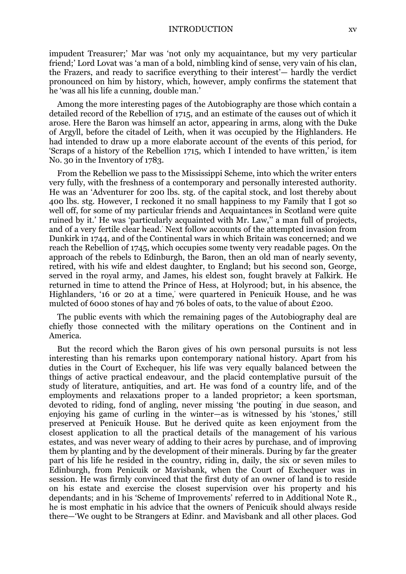#### INTRODUCTION xv

impudent Treasurer;' Mar was 'not only my acquaintance, but my very particular friend;' Lord Lovat was 'a man of a bold, nimbling kind of sense, very vain of his clan, the Frazers, and ready to sacrifice everything to their interest'— hardly the verdict pronounced on him by history, which, however, amply confirms the statement that he 'was all his life a cunning, double man.'

Among the more interesting pages of the Autobiography are those which contain a detailed record of the Rebellion of 1715, and an estimate of the causes out of which it arose. Here the Baron was himself an actor, appearing in arms, along with the Duke of Argyll, before the citadel of Leith, when it was occupied by the Highlanders. He had intended to draw up a more elaborate account of the events of this period, for 'Scraps of a history of the Rebellion 1715, which I intended to have written,' is item No. 30 in the Inventory of 1783.

From the Rebellion we pass to the Mississippi Scheme, into which the writer enters very fully, with the freshness of a contemporary and personally interested authority. He was an 'Adventurer for 200 lbs. stg. of the capital stock, and lost thereby about 400 lbs. stg. However, I reckoned it no small happiness to my Family that I got so well off, for some of my particular friends and Acquaintances in Scotland were quite ruined by it.' He was 'particularly acquainted with Mr. Law,'' a man full of projects, and of a very fertile clear head.' Next follow accounts of the attempted invasion from Dunkirk in 1744, and of the Continental wars in which Britain was concerned; and we reach the Rebellion of 1745, which occupies some twenty very readable pages. On the approach of the rebels to Edinburgh, the Baron, then an old man of nearly seventy, retired, with his wife and eldest daughter, to England; but his second son, George, served in the royal army, and James, his eldest son, fought bravely at Falkirk. He returned in time to attend the Prince of Hess, at Holyrood; but, in his absence, the Highlanders, '16 or 20 at a time,' were quartered in Penicuik House, and he was mulcted of 6000 stones of hay and 76 boles of oats, to the value of about £200*.*

The public events with which the remaining pages of the Autobiography deal are chiefly those connected with the military operations on the Continent and in America.

But the record which the Baron gives of his own personal pursuits is not less interesting than his remarks upon contemporary national history. Apart from his duties in the Court of Exchequer, his life was very equally balanced between the things of active practical endeavour, and the placid contemplative pursuit of the study of literature, antiquities, and art. He was fond of a country life, and of the employments and relaxations proper to a landed proprietor; a keen sportsman, devoted to riding, fond of angling, never missing 'the pouting' in due season, and enjoying his game of curling in the winter—as is witnessed by his 'stones,' still preserved at Penicuik House. But he derived quite as keen enjoyment from the closest application to all the practical details of the management of his various estates, and was never weary of adding to their acres by purchase, and of improving them by planting and by the development of their minerals. During by far the greater part of his life he resided in the country, riding in, daily, the six or seven miles to Edinburgh, from Penicuik or Mavisbank, when the Court of Exchequer was in session. He was firmly convinced that the first duty of an owner of land is to reside on his estate and exercise the closest supervision over his property and his dependants; and in his 'Scheme of Improvements' referred to in Additional Note R., he is most emphatic in his advice that the owners of Penicuik should always reside there—'We ought to be Strangers at Edinr. and Mavisbank and all other places. God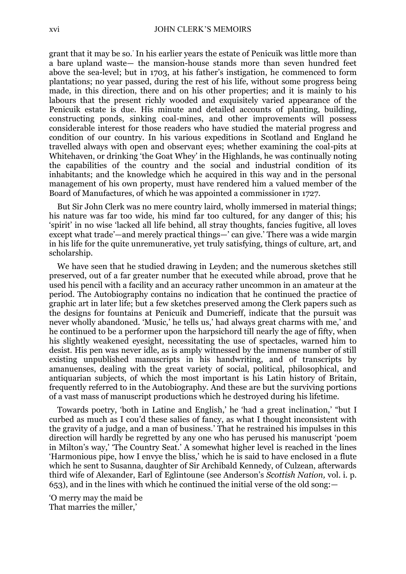grant that it may be so.' In his earlier years the estate of Penicuik was little more than a bare upland waste— the mansion-house stands more than seven hundred feet above the sea-level; but in 1703, at his father's instigation, he commenced to form plantations; no year passed, during the rest of his life, without some progress being made, in this direction, there and on his other properties; and it is mainly to his labours that the present richly wooded and exquisitely varied appearance of the Penicuik estate is due. His minute and detailed accounts of planting, building, constructing ponds, sinking coal-mines, and other improvements will possess considerable interest for those readers who have studied the material progress and condition of our country. In his various expeditions in Scotland and England he travelled always with open and observant eyes; whether examining the coal-pits at Whitehaven, or drinking 'the Goat Whey' in the Highlands, he was continually noting the capabilities of the country and the social and industrial condition of its inhabitants; and the knowledge which he acquired in this way and in the personal management of his own property, must have rendered him a valued member of the Board of Manufactures, of which he was appointed a commissioner in 1727.

But Sir John Clerk was no mere country laird, wholly immersed in material things; his nature was far too wide, his mind far too cultured, for any danger of this; his 'spirit' in no wise 'lacked all life behind, all stray thoughts, fancies fugitive, all loves except what trade'—and merely practical things—' can give.' There was a wide margin in his life for the quite unremunerative, yet truly satisfying, things of culture, art, and scholarship.

We have seen that he studied drawing in Leyden; and the numerous sketches still preserved, out of a far greater number that he executed while abroad, prove that he used his pencil with a facility and an accuracy rather uncommon in an amateur at the period. The Autobiography contains no indication that he continued the practice of graphic art in later life; but a few sketches preserved among the Clerk papers such as the designs for fountains at Penicuik and Dumcrieff, indicate that the pursuit was never wholly abandoned. 'Music,' he tells us,' had always great charms with me,' and he continued to be a performer upon the harpsichord till nearly the age of fifty, when his slightly weakened eyesight, necessitating the use of spectacles, warned him to desist. His pen was never idle, as is amply witnessed by the immense number of still existing unpublished manuscripts in his handwriting, and of transcripts by amanuenses, dealing with the great variety of social, political, philosophical, and antiquarian subjects, of which the most important is his Latin history of Britain, frequently referred to in the Autobiography. And these are but the surviving portions of a vast mass of manuscript productions which he destroyed during his lifetime.

Towards poetry, 'both in Latine and English,' he 'had a great inclination,' "but I curbed as much as I cou'd these salies of fancy, as what I thought inconsistent with the gravity of a judge, and a man of business.' That he restrained his impulses in this direction will hardly be regretted by any one who has perused his manuscript 'poem in Milton's way,' 'The Country Seat.' A somewhat higher level is reached in the lines 'Harmonious pipe, how I envye the bliss,' which he is said to have enclosed in a flute which he sent to Susanna, daughter of Sir Archibald Kennedy, of Culzean, afterwards third wife of Alexander, Earl of Eglintoune (see Anderson's *Scottish Nation,* vol. i. p. 653), and in the lines with which he continued the initial verse of the old song:—

'O merry may the maid be That marries the miller,'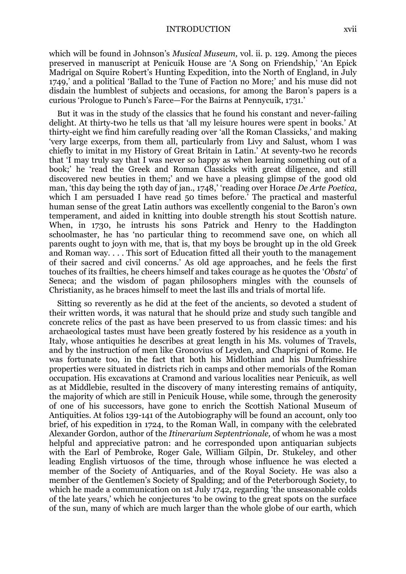which will be found in Johnson's *Musical Museum,* vol. ii. p. 129. Among the pieces preserved in manuscript at Penicuik House are 'A Song on Friendship,' 'An Epick Madrigal on Squire Robert's Hunting Expedition, into the North of England, in July 1749,' and a political 'Ballad to the Tune of Faction no More;' and his muse did not disdain the humblest of subjects and occasions, for among the Baron's papers is a curious 'Prologue to Punch's Farce—For the Bairns at Pennycuik, 1731.'

But it was in the study of the classics that he found his constant and never-failing delight. At thirty-two he tells us that 'all my leisure houres were spent in books.' At thirty-eight we find him carefully reading over 'all the Roman Classicks,' and making 'very large excerps, from them all, particularly from Livy and Salust, whom I was chiefly to imitat in my History of Great Britain in Latin.' At seventy-two he records that 'I may truly say that I was never so happy as when learning something out of a book;' he 'read the Greek and Roman Classicks with great diligence, and still discovered new beuties in them;' and we have a pleasing glimpse of the good old man, 'this day being the 19th day of jan., 1748,' 'reading over Horace *De Arte Poetica,*  which I am persuaded I have read 50 times before.' The practical and masterful human sense of the great Latin authors was excellently congenial to the Baron's own temperament, and aided in knitting into double strength his stout Scottish nature. When, in 1730, he intrusts his sons Patrick and Henry to the Haddington schoolmaster, he has 'no particular thing to recommend save one, on which all parents ought to joyn with me, that is, that my boys be brought up in the old Greek and Roman way. . . . This sort of Education fitted all their youth to the management of their sacred and civil concerns.' As old age approaches, and he feels the first touches of its frailties, he cheers himself and takes courage as he quotes the '*Obsta*' of Seneca; and the wisdom of pagan philosophers mingles with the counsels of Christianity, as he braces himself to meet the last ills and trials of mortal life.

Sitting so reverently as he did at the feet of the ancients, so devoted a student of their written words, it was natural that he should prize and study such tangible and concrete relics of the past as have been preserved to us from classic times: and his archaeological tastes must have been greatly fostered by his residence as a youth in Italy, whose antiquities he describes at great length in his Ms. volumes of Travels, and by the instruction of men like Gronovius of Leyden, and Chaprigni of Rome. He was fortunate too, in the fact that both his Midlothian and his Dumfriesshire properties were situated in districts rich in camps and other memorials of the Roman occupation. His excavations at Cramond and various localities near Penicuik, as well as at Middlebie, resulted in the discovery of many interesting remains of antiquity, the majority of which are still in Penicuik House, while some, through the generosity of one of his successors, have gone to enrich the Scottish National Museum of Antiquities. At folios 139-141 of the Autobiography will be found an account, only too brief, of his expedition in 1724, to the Roman Wall, in company with the celebrated Alexander Gordon, author of the *Itinerarium Septentrionale,* of whom he was a most helpful and appreciative patron: and he corresponded upon antiquarian subjects with the Earl of Pembroke, Roger Gale, William Gilpin, Dr. Stukeley, and other leading English virtuosos of the time, through whose influence he was elected a member of the Society of Antiquaries, and of the Royal Society. He was also a member of the Gentlemen's Society of Spalding; and of the Peterborough Society, to which he made a communication on 1st July 1742, regarding 'the unseasonable colds of the late years,' which he conjectures 'to be owing to the great spots on the surface of the sun, many of which are much larger than the whole globe of our earth, which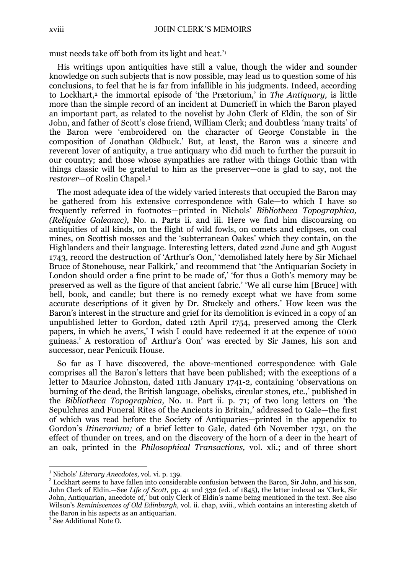must needs take off both from its light and heat.' 1

His writings upon antiquities have still a value, though the wider and sounder knowledge on such subjects that is now possible, may lead us to question some of his conclusions, to feel that he is far from infallible in his judgments. Indeed, according to Lockhart,<sup>2</sup> the immortal episode of 'the Prætorium,' in *The Antiquary,* is little more than the simple record of an incident at Dumcrieff in which the Baron played an important part, as related to the novelist by John Clerk of Eldin, the son of Sir John, and father of Scott's close friend, William Clerk; and doubtless 'many traits' of the Baron were 'embroidered on the character of George Constable in the composition of Jonathan Oldbuck.' But, at least, the Baron was a sincere and reverent lover of antiquity, a true antiquary who did much to further the pursuit in our country; and those whose sympathies are rather with things Gothic than with things classic will be grateful to him as the preserver—one is glad to say, not the *restorer*—of Roslin Chapel.<sup>3</sup>

The most adequate idea of the widely varied interests that occupied the Baron may be gathered from his extensive correspondence with Gale—to which I have so frequently referred in footnotes—printed in Nichols' *Bibliotheca Topographica, (Reliquice Galeancc),* No. n. Parts ii. and iii. Here we find him discoursing on antiquities of all kinds, on the flight of wild fowls, on comets and eclipses, on coal mines, on Scottish mosses and the 'subterranean Oakes' which they contain, on the Highlanders and their language. Interesting letters, dated 22nd June and 5th August 1743, record the destruction of 'Arthur's Oon,' 'demolished lately here by Sir Michael Bruce of Stonehouse, near Falkirk,' and recommend that 'the Antiquarian Society in London should order a fine print to be made of,' 'for thus a Goth's memory may be preserved as well as the figure of that ancient fabric.' 'We all curse him [Bruce] with bell, book, and candle; but there is no remedy except what we have from some accurate descriptions of it given by Dr. Stuckely and others.' How keen was the Baron's interest in the structure and grief for its demolition is evinced in a copy of an unpublished letter to Gordon, dated 12th April 1754, preserved among the Clerk papers, in which he avers,' I wish I could have redeemed it at the expence of 1000 guineas.' A restoration of' Arthur's Oon' was erected by Sir James, his son and successor, near Penicuik House.

So far as I have discovered, the above-mentioned correspondence with Gale comprises all the Baron's letters that have been published; with the exceptions of a letter to Maurice Johnston, dated 11th January 1741-2, containing 'observations on burning of the dead, the British language, obelisks, circular stones, etc.,' published in the *Bibliotheca Topographica,* No. II. Part ii. p. 71; of two long letters on 'the Sepulchres and Funeral Rites of the Ancients in Britain,' addressed to Gale—the first of which was read before the Society of Antiquaries—printed in the appendix to Gordon's *Itinerarium;* of a brief letter to Gale, dated 6th November 1731, on the effect of thunder on trees, and on the discovery of the horn of a deer in the heart of an oak, printed in the *Philosophical Transactions,* vol. xli.; and of three short

<u>.</u>

<sup>1</sup> Nichols' *Literary Anecdotes,* vol. vi. p. 139.

 $2^{2}$  Lockhart seems to have fallen into considerable confusion between the Baron, Sir John, and his son, John Clerk of Eldin.—See *Life of Scott,* pp. 41 and 332 (ed. of 1845), the latter indexed as 'Clerk, Sir John, Antiquarian, anecdote of,' but only Clerk of Eldin's name being mentioned in the text. See also Wilson's *Reminiscences of Old Edinburgh,* vol. ii. chap, xviii., which contains an interesting sketch of the Baron in his aspects as an antiquarian.

<sup>3</sup> See Additional Note O.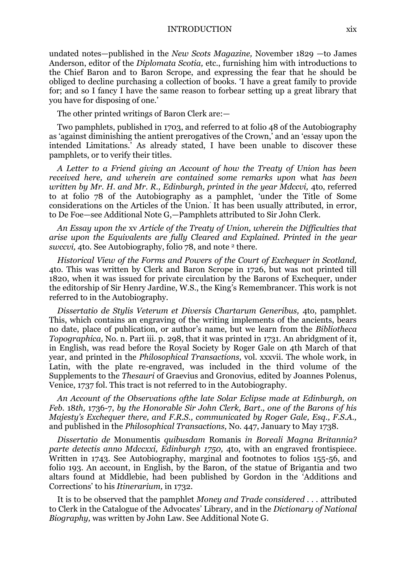undated notes—published in the *New Scots Magazine,* November 1829 —to James Anderson, editor of the *Diplomata Scotia,* etc., furnishing him with introductions to the Chief Baron and to Baron Scrope, and expressing the fear that he should be obliged to decline purchasing a collection of books. 'I have a great family to provide for; and so I fancy I have the same reason to forbear setting up a great library that you have for disposing of one.'

The other printed writings of Baron Clerk are:—

Two pamphlets, published in 1703, and referred to at folio 48 of the Autobiography as 'against diminishing the antient prerogatives of the Crown,' and an 'essay upon the intended Limitations.' As already stated, I have been unable to discover these pamphlets, or to verify their titles.

*A Letter to a Friend giving an Account of how the Treaty of Union has been received here, and wherein are contained some remarks upon* what *has been written by Mr. H. and Mr. R., Edinburgh, printed in the year Mdccvi, 4to, referred* to at folio 78 of the Autobiography as a pamphlet, 'under the Title of Some considerations on the Articles of the Union.' It has been usually attributed, in error, to De Foe—see Additional Note G,—Pamphlets attributed to Sir John Clerk.

*An Essay upon the* xv *Article of the Treaty of Union, wherein the Difficulties that arise upon the Equivalents are fully Cleared and Explained. Printed in the year swccvi, 4to.* See Autobiography, folio 78, and note <sup>2</sup> there.

*Historical View of the Forms and Powers of the Court of Exchequer in Scotland,*  4to. This was written by Clerk and Baron Scrope in 1726, but was not printed till 1820, when it was issued for private circulation by the Barons of Exchequer, under the editorship of Sir Henry Jardine, W.S., the King's Remembrancer. This work is not referred to in the Autobiography.

*Dissertatio de Stylis Veterum et Diversis Chartarum Generibus,* 4to, pamphlet. This, which contains an engraving of the writing implements of the ancients, bears no date, place of publication, or author's name, but we learn from the *Bibliotheca Topographica,* No. n. Part iii. p. 298, that it was printed in 1731. An abridgment of it, in English, was read before the Royal Society by Roger Gale on 4th March of that year, and printed in the *Philosophical Transactions,* vol. xxxvii. The whole work, in Latin, with the plate re-engraved, was included in the third volume of the Supplements to the *Thesauri* of Graevius and Gronovius, edited by Joannes Polenus, Venice, 1737 fol. This tract is not referred to in the Autobiography.

*An Account of the Observations ofthe late Solar Eclipse made at Edinburgh, on Feb.* 18*th,* 1736-7, *by the Honorable Sir John Clerk, Bart., one of the Barons of his Majesty's Exchequer there, and F.R.S., communicated by Roger Gale, Esq., F.S.A.,*  and published in the *Philosophical Transactions,* No. 447, January to May 1738.

*Dissertatio de* Monumentis *quibusdam* Romanis *in Boreali Magna Britannia? parte detectis anno Mdccxxi, Edinburgh 1750,* 4to, with an engraved frontispiece. Written in 1743. See Autobiography, marginal and footnotes to folios 155-56, and folio 193. An account, in English, by the Baron, of the statue of Brigantia and two altars found at Middlebie, had been published by Gordon in the 'Additions and Corrections' to his *Itinerarium,* in 1732.

It is to be observed that the pamphlet *Money and Trade considered . . .* attributed to Clerk in the Catalogue of the Advocates' Library, and in the *Dictionary of National Biography,* was written by John Law. See Additional Note G.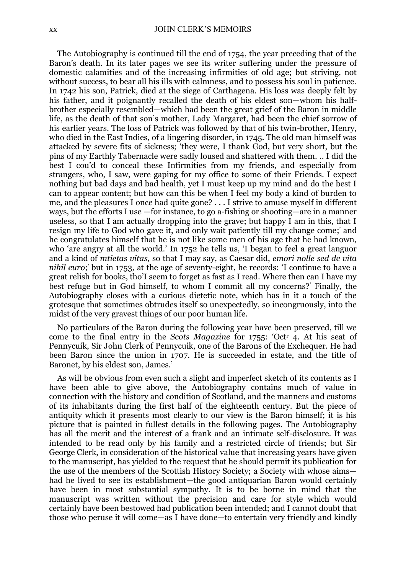The Autobiography is continued till the end of 1754, the year preceding that of the Baron's death. In its later pages we see its writer suffering under the pressure of domestic calamities and of the increasing infirmities of old age; but striving, not without success, to bear all his ills with calmness, and to possess his soul in patience. In 1742 his son, Patrick, died at the siege of Carthagena. His loss was deeply felt by his father, and it poignantly recalled the death of his eldest son—whom his halfbrother especially resembled—which had been the great grief of the Baron in middle life, as the death of that son's mother, Lady Margaret, had been the chief sorrow of his earlier years. The loss of Patrick was followed by that of his twin-brother, Henry, who died in the East Indies, of a lingering disorder, in 1745. The old man himself was attacked by severe fits of sickness; 'they were, I thank God, but very short, but the pins of my Earthly Tabernacle were sadly loused and shattered with them. .. I did the best I cou'd to conceal these Infirmities from my friends, and especially from strangers, who, I saw, were gaping for my office to some of their Friends. I expect nothing but bad days and bad health, yet I must keep up my mind and do the best I can to appear content; but how can this be when I feel my body a kind of burden to me, and the pleasures I once had quite gone? . . . I strive to amuse myself in different ways, but the efforts I use —for instance, to go a-fishing or shooting—are in a manner useless, so that I am actually dropping into the grave; but happy I am in this, that I resign my life to God who gave it, and only wait patiently till my change come; ' and he congratulates himself that he is not like some men of his age that he had known, who 'are angry at all the world.' In 1752 he tells us, 'I began to feel a great languor and a kind of *mtietas vitas,* so that I may say, as Caesar did, *emori nolle sed de vita*  nihil euro; but in 1753, at the age of seventy-eight, he records: 'I continue to have a great relish for books, tho'I seem to forget as fast as I read. Where then can I have my best refuge but in God himself, to whom I commit all my concerns?' Finally, the Autobiography closes with a curious dietetic note, which has in it a touch of the grotesque that sometimes obtrudes itself so unexpectedly, so incongruously, into the midst of the very gravest things of our poor human life.

No particulars of the Baron during the following year have been preserved, till we come to the final entry in the *Scots Magazine* for 1755: 'Oct<sup>r</sup> 4. At his seat of Pennycuik, Sir John Clerk of Pennycuik, one of the Barons of the Exchequer. He had been Baron since the union in 1707. He is succeeded in estate, and the title of Baronet, by his eldest son, James.'

As will be obvious from even such a slight and imperfect sketch of its contents as I have been able to give above, the Autobiography contains much of value in connection with the history and condition of Scotland, and the manners and customs of its inhabitants during the first half of the eighteenth century. But the piece of antiquity which it presents most clearly to our view is the Baron himself; it is his picture that is painted in fullest details in the following pages. The Autobiography has all the merit and the interest of a frank and an intimate self-disclosure. It was intended to be read only by his family and a restricted circle of friends; but Sir George Clerk, in consideration of the historical value that increasing years have given to the manuscript, has yielded to the request that he should permit its publication for the use of the members of the Scottish History Society; a Society with whose aims had he lived to see its establishment—the good antiquarian Baron would certainly have been in most substantial sympathy. It is to be borne in mind that the manuscript was written without the precision and care for style which would certainly have been bestowed had publication been intended; and I cannot doubt that those who peruse it will come—as I have done—to entertain very friendly and kindly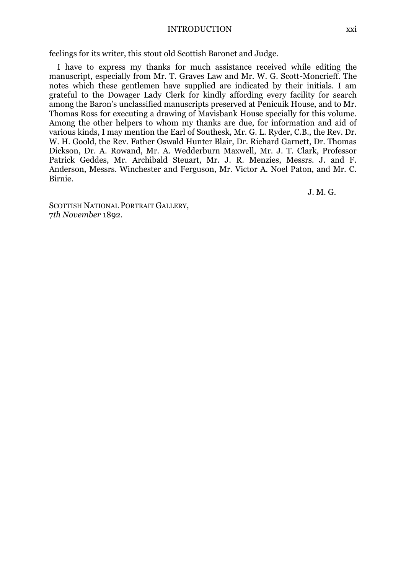#### INTRODUCTION xxi

feelings for its writer, this stout old Scottish Baronet and Judge.

I have to express my thanks for much assistance received while editing the manuscript, especially from Mr. T. Graves Law and Mr. W. G. Scott-Moncrieff. The notes which these gentlemen have supplied are indicated by their initials. I am grateful to the Dowager Lady Clerk for kindly affording every facility for search among the Baron's unclassified manuscripts preserved at Penicuik House, and to Mr. Thomas Ross for executing a drawing of Mavisbank House specially for this volume. Among the other helpers to whom my thanks are due, for information and aid of various kinds, I may mention the Earl of Southesk, Mr. G. L. Ryder, C.B., the Rev. Dr. W. H. Goold, the Rev. Father Oswald Hunter Blair, Dr. Richard Garnett, Dr. Thomas Dickson, Dr. A. Rowand, Mr. A. Wedderburn Maxwell, Mr. J. T. Clark, Professor Patrick Geddes, Mr. Archibald Steuart, Mr. J. R. Menzies, Messrs. J. and F. Anderson, Messrs. Winchester and Ferguson, Mr. Victor A. Noel Paton, and Mr. C. Birnie.

J. M. G.

SCOTTISH NATIONAL PORTRAIT GALLERY. 7*th November* 1892.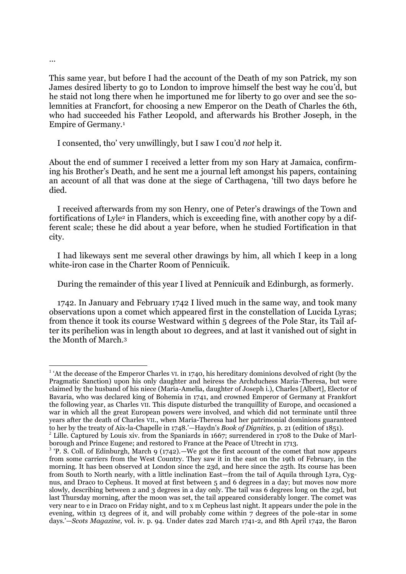This same year, but before I had the account of the Death of my son Patrick, my son James desired liberty to go to London to improve himself the best way he cou'd, but he staid not long there when he importuned me for liberty to go over and see the solemnities at Francfort, for choosing a new Emperor on the Death of Charles the 6th, who had succeeded his Father Leopold, and afterwards his Brother Joseph, in the Empire of Germany.<sup>1</sup>

I consented, tho' very unwillingly, but I saw I cou'd *not* help it.

About the end of summer I received a letter from my son Hary at Jamaica, confirming his Brother's Death, and he sent me a journal left amongst his papers, containing an account of all that was done at the siege of Carthagena, 'till two days before he died.

I received afterwards from my son Henry, one of Peter's drawings of the Town and fortifications of Lyle<sup>2</sup> in Flanders, which is exceeding fine, with another copy by a different scale; these he did about a year before, when he studied Fortification in that city.

I had likeways sent me several other drawings by him, all which I keep in a long white-iron case in the Charter Room of Pennicuik.

During the remainder of this year I lived at Pennicuik and Edinburgh, as formerly.

1742. In January and February 1742 I lived much in the same way, and took many observations upon a comet which appeared first in the constellation of Lucida Lyras; from thence it took its course Westward within 5 degrees of the Pole Star, its Tail after its perihelion was in length about 10 degrees, and at last it vanished out of sight in the Month of March.<sup>3</sup>

<sup>1</sup> <sup>1</sup> 'At the decease of the Emperor Charles VI. in 1740, his hereditary dominions devolved of right (by the Pragmatic Sanction) upon his only daughter and heiress the Archduchess Maria-Theresa, but were claimed by the husband of his niece (Maria-Amelia, daughter of Joseph i.), Charles [Albert], Elector of Bavaria, who was declared king of Bohemia in 1741, and crowned Emperor of Germany at Frankfort the following year, as Charles VII. This dispute disturbed the tranquillity of Europe, and occasioned a war in which all the great European powers were involved, and which did not terminate until three years after the death of Charles VII., when Maria-Theresa had her patrimonial dominions guaranteed to her by the treaty of Aix-la-Chapelle in 1748.'—Haydn's *Book of Dignities,* p. 21 (edition of 1851).

 $^{2}$  Lille. Captured by Louis xiv. from the Spaniards in 1667; surrendered in 1708 to the Duke of Marlborough and Prince Eugene; and restored to France at the Peace of Utrecht in 1713.

 $3$  'P. S. Coll. of Edinburgh, March 9 (1742).—We got the first account of the comet that now appears from some carriers from the West Country. They saw it in the east on the 19th of February, in the morning. It has been observed at London since the 23d, and here since the 25th. Its course has been from South to North nearly, with a little inclination East—from the tail of Aquila through Lyra, Cygnus, and Draco to Cepheus. It moved at first between 5 and 6 degrees in a day; but moves now more slowly, describing between 2 and 3 degrees in a day only. The tail was 6 degrees long on the 23d, but last Thursday morning, after the moon was set, the tail appeared considerably longer. The comet was very near to e in Draco on Friday night, and to x m Cepheus last night. It appears under the pole in the evening, within 13 degrees of it, and will probably come within 7 degrees of the pole-star in some days.'—*Scots Magazine,* vol. iv. p. 94. Under dates 22d March 1741-2, and 8th April 1742, the Baron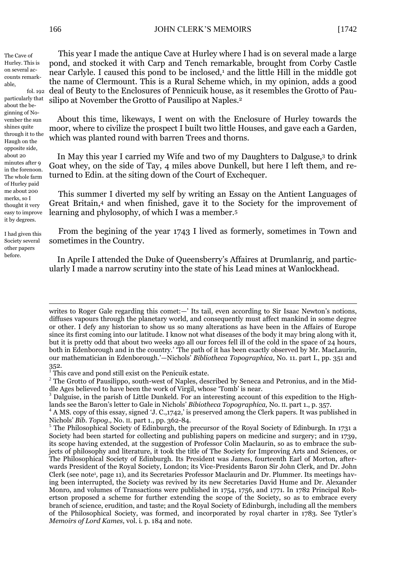The Cave of Hurley. This is on several accounts remarkable,

fol. 192 particularly that about the beginning of November the sun shines quite through it to the Haugh on the opposite side, about 20 minutes after 9 in the forenoon. The whole farm of Hurley paid me about 200 merks, so I thought it very easy to improve it by degrees.

I had given this Society several other papers before.

1

This year I made the antique Cave at Hurley where I had is on several made a large pond, and stocked it with Carp and Tench remarkable, brought from Corby Castle near Carlyle. I caused this pond to be inclosed,<sup>1</sup> and the little Hill in the middle got the name of Clermount. This is a Rural Scheme which, in my opinion, adds a good deal of Beuty to the Enclosures of Pennicuik house, as it resembles the Grotto of Pausilipo at November the Grotto of Pausilipo at Naples. 2

About this time, likeways, I went on with the Enclosure of Hurley towards the moor, where to civilize the prospect I built two little Houses, and gave each a Garden, which was planted round with barren Trees and thorns.

In May this year I carried my Wife and two of my Daughters to Dalguse,<sup>3</sup> to drink Goat whey, on the side of Tay, 4 miles above Dunkell, but here I left them, and returned to Edin. at the siting down of the Court of Exchequer.

This summer I diverted my self by writing an Essay on the Antient Languages of Great Britain,<sup>4</sup> and when finished, gave it to the Society for the improvement of learning and phylosophy, of which I was a member.<sup>5</sup>

From the begining of the year 1743 I lived as formerly, sometimes in Town and sometimes in the Country.

In Aprile I attended the Duke of Queensberry's Affaires at Drumlanrig, and particularly I made a narrow scrutiny into the state of his Lead mines at Wanlockhead.

writes to Roger Gale regarding this comet:—' Its tail, even according to Sir Isaac Newton's notions, diffuses vapours through the planetary world, and consequently must affect mankind in some degree or other. I defy any historian to show us so many alterations as have been in the Affairs of Europe since its first coming into our latitude. I know not what diseases of the body it may bring along with it, but it is pretty odd that about two weeks ago all our forces fell ill of the cold in the space of 24 hours, both in Edenborough and in the country.' 'The path of it has been exactly observed by Mr. MacLaurin, our mathematician in Edenborough.'—Nichols' *Bibliotheca Topographica,* No. 11. part I., pp. 351 and 352.

This cave and pond still exist on the Penicuik estate.

<sup>&</sup>lt;sup>2</sup> The Grotto of Pausilippo, south-west of Naples, described by Seneca and Petronius, and in the Middle Ages believed to have been the work of Virgil, whose 'Tomb' is near.

<sup>3</sup> Dalguise, in the parish of Little Dunkeld. For an interesting account of this expedition to the Highlands see the Baron's letter to Gale in Nichols' *Bibiotheca Topographica,* No. II. part 1., p. 357.

<sup>&</sup>lt;sup>4</sup> A MS. copy of this essay, signed 'J. C.,1742,' is preserved among the Clerk papers. It was published in Nichols' *Bib. Topog.,* No. II. part 1., pp. 362-84.

<sup>&</sup>lt;sup>5</sup> The Philosophical Society of Edinburgh, the precursor of the Royal Society of Edinburgh. In 1731 a Society had been started for collecting and publishing papers on medicine and surgery; and in 1739, its scope having extended, at the suggestion of Professor Colin Maclaurin, so as to embrace the subjects of philosophy and literature, it took the title of The Society for Improving Arts and Sciences, or The Philosophical Society of Edinburgh. Its President was James, fourteenth Earl of Morton, afterwards President of the Royal Society, London; its Vice-Presidents Baron Sir John Clerk, and Dr. John Clerk (see note<sup>1</sup>, page 11), and its Secretaries Professor Maclaurin and Dr. Plummer. Its meetings having been interrupted, the Society was revived by its new Secretaries David Hume and Dr. Alexander Monro, and volumes of Transactions were published in 1754, 1756, and 1771. In 1782 Principal Robertson proposed a scheme for further extending the scope of the Society, so as to embrace every branch of science, erudition, and taste; and the Royal Society of Edinburgh, including all the members of the Philosophical Society, was formed, and incorporated by royal charter in 1783. See Tytler's *Memoirs of Lord Kames,* vol. i. p. 184 and note.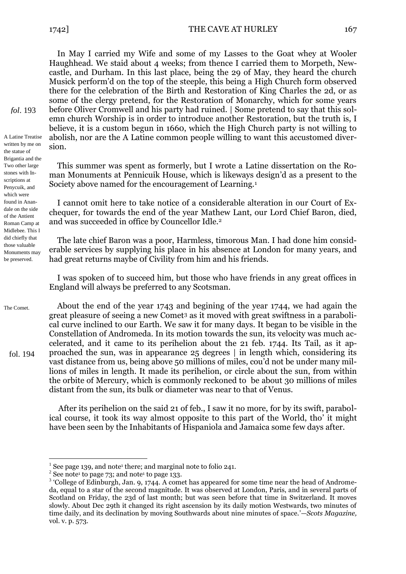In May I carried my Wife and some of my Lasses to the Goat whey at Wooler Haughhead. We staid about 4 weeks; from thence I carried them to Morpeth, Newcastle, and Durham. In this last place, being the 29 of May, they heard the church Musick perform'd on the top of the steeple, this being a High Church form observed there for the celebration of the Birth and Restoration of King Charles the 2d, or as some of the clergy pretend, for the Restoration of Monarchy, which for some years before Oliver Cromwell and his party had ruined. | Some pretend to say that this solemn church Worship is in order to introduce another Restoration, but the truth is, I believe, it is a custom begun in 1660, which the High Church party is not willing to abolish, nor are the A Latine common people willing to want this accustomed diversion.

This summer was spent as formerly, but I wrote a Latine dissertation on the Roman Monuments at Pennicuik House, which is likeways design'd as a present to the Society above named for the encouragement of Learning.<sup>1</sup>

I cannot omit here to take notice of a considerable alteration in our Court of Exchequer, for towards the end of the year Mathew Lant, our Lord Chief Baron, died, and was succeeded in office by Councellor Idle.<sup>2</sup>

The late chief Baron was a poor, Harmless, timorous Man. I had done him considerable services by supplying his place in his absence at London for many years, and had great returns maybe 0f Civility from him and his friends.

I was spoken of to succeed him, but those who have friends in any great offices in England will always be preferred to any Scotsman.

About the end of the year 1743 and begining of the year 1744, we had again the great pleasure of seeing a new Comet<sup>3</sup> as it moved with great swiftness in a parabolical curve inclined to our Earth. We saw it for many days. It began to be visible in the Constellation of Andromeda. In its motion towards the sun, its velocity was much accelerated, and it came to its perihelion about the 21 feb. 1744. Its Tail, as it approached the sun, was in appearance 25 degrees | in length which, considering its vast distance from us, being above 50 millions of miles, cou'd not be under many millions of miles in length. It made its perihelion, or circle about the sun, from within the orbite of Mercury, which is commonly reckoned to be about 30 millions of miles distant from the sun, its bulk or diameter was near to that of Venus.

After its perihelion on the said 21 of feb., I saw it no more, for by its swift, parabolical course, it took its way almost opposite to this part of the World, tho' it might have been seen by the Inhabitants of Hispaniola and Jamaica some few days after.

1

*fol*. 193

A Latine Treatise written by me on the statue of Brigantia and the Two other large stones with Inscriptions at Penycuik, and which were found in Anandale on the side of the Antient Roman Camp at Midlebee. This I did chiefly that those valuable Monuments may be preserved.

The Comet.

fol. 194

<sup>&</sup>lt;sup>1</sup> See page 139, and note<sup>1</sup> there; and marginal note to folio 241.

 $2$  See note<sup>1</sup> to page 73; and note<sup>1</sup> to page 133.

<sup>&</sup>lt;sup>3</sup> 'College of Edinburgh, Jan. 9, 1744. A comet has appeared for some time near the head of Andromeda, equal to a star of the second magnitude. It was observed at London, Paris, and in several parts of Scotland on Friday, the 23d of last month; but was seen before that time in Switzerland. It moves slowly. About Dec 29th it changed its right ascension by its daily motion Westwards, two minutes of time daily, and its declination by moving Southwards about nine minutes of space.'—*Scots Magazine,*  vol. v. p. 573.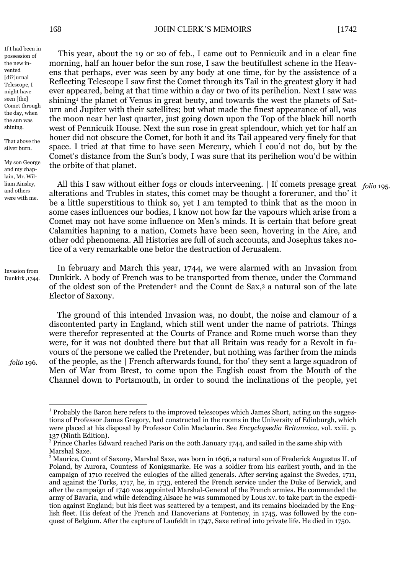If I had been in possession of the new invented [di?]urnal Telescope, I might have seen [the] Comet through the day, when the sun was shining.

That above the silver burn.

My son George and my chaplain, Mr. William Ainsley, and others were with me.

This year, about the 19 or 20 of feb., I came out to Pennicuik and in a clear fine morning, half an houer befor the sun rose, I saw the beutifullest schene in the Heavens that perhaps, ever was seen by any body at one time, for by the assistence of a Reflecting Telescope I saw first the Comet through its Tail in the greatest glory it had ever appeared, being at that time within a day or two of its perihelion. Next I saw was shining<sup>1</sup> the planet of Venus in great beuty, and towards the west the planets of Saturn and Jupiter with their satellites; but what made the finest appearance of all, was the moon near her last quarter, just going down upon the Top of the black hill north west of Pennicuik House. Next the sun rose in great splendour, which yet for half an houer did not obscure the Comet, for both it and its Tail appeared very finely for that space. I tried at that time to have seen Mercury, which I cou'd not do, but by the Comet's distance from the Sun's body, I was sure that its perihelion wou'd be within the orbite of that planet.

All this I saw without either fogs or clouds interveening. | If comets presage great *folio* 195. alterations and Trubles in states, this comet may be thought a foreruner, and tho' it be a little superstitious to think so, yet I am tempted to think that as the moon in some cases influences our bodies, I know not how far the vapours which arise from a Comet may not have some influence on Men's minds. It is certain that before great Calamities hapning to a nation, Comets have been seen, hovering in the Aire, and other odd phenomena. All Histories are full of such accounts, and Josephus takes notice of a very remarkable one befor the destruction of Jerusalem.

Invasion from Dunkirk ,1744.

*folio* 196.

<u>.</u>

In february and March this year, 1744, we were alarmed with an Invasion from Dunkirk. A body of French was to be transported from thence, under the Command of the oldest son of the Pretender<sup>2</sup> and the Count de Sax,<sup>3</sup> a natural son of the late Elector of Saxony.

The ground of this intended Invasion was, no doubt, the noise and clamour of a discontented party in England, which still went under the name of patriots. Things were therefor represented at the Courts of France and Rome much worse than they were, for it was not doubted there but that all Britain was ready for a Revolt in favours of the persone we called the Pretender, but nothing was farther from the minds of the people, as the | French afterwards found, for tho' they sent a large squadron of Men of War from Brest, to come upon the English coast from the Mouth of the Channel down to Portsmouth, in order to sound the inclinations of the people, yet

<sup>&</sup>lt;sup>1</sup> Probably the Baron here refers to the improved telescopes which James Short, acting on the suggestions of Professor James Gregory, had constructed in the rooms in the University of Edinburgh, which were placed at his disposal by Professor Colin Maclaurin. See *Encyclopædia Britannica,* vol. xxiii. p. 137 (Ninth Edition).

 $2$  Prince Charles Edward reached Paris on the 20th January 1744, and sailed in the same ship with Marshal Saxe.

<sup>&</sup>lt;sup>3</sup> Maurice, Count of Saxony, Marshal Saxe, was born in 1696, a natural son of Frederick Augustus II. of Poland, by Aurora, Countess of Konigsmarke. He was a soldier from his earliest youth, and in the campaign of 1710 received the eulogies of the allied generals. After serving against the Swedes, 1711, and against the Turks, 1717, he, in 1733, entered the French service under the Duke of Berwick, and after the campaign of 1740 was appointed Marshal-General of the French armies. He commanded the army of Bavaria, and while defending Alsace he was summoned by Lous XV. to take part in the expedition against England; but his fleet was scattered by a tempest, and its remains blockaded by the English fleet. His defeat of the French and Hanoverians at Fontenoy, in 1745, was followed by the conquest of Belgium. After the capture of Laufeldt in 1747, Saxe retired into private life. He died in 1750.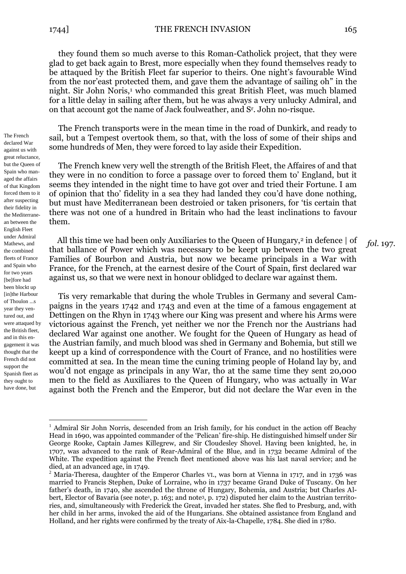The French declared War against us with great reluctance, but the Queen of Spain who managed the affairs of that Kingdom forced them to it after suspecting their fidelity in the Mediterranean between the English Fleet under Admiral Mathews, and the combined fleets of France and Spain who for two years [be]fore had been blockt up [in]the Harbour of Thoulon ...s year they ventured out, and were attaqued by the British fleet, and in this engagement it was thought that the French did not support the Spanish fleet as they ought to have done, but

1

they found them so much averse to this Roman-Catholick project, that they were glad to get back again to Brest, more especially when they found themselves ready to be attaqued by the British Fleet far superior to theirs. One night's favourable Wind from the nor'east protected them, and gave them the advantage of sailing oh" in the night. Sir John Noris,<sup>1</sup> who commanded this great British Fleet, was much blamed for a little delay in sailing after them, but he was always a very unlucky Admiral, and on that account got the name of Jack foulweather, and S<sup>r</sup> . John no-risque.

The French transports were in the mean time in the road of Dunkirk, and ready to sail, but a Tempest overtook them, so that, with the loss of some of their ships and some hundreds of Men, they were forced to lay aside their Expedition.

The French knew very well the strength of the British Fleet, the Affaires of and that they were in no condition to force a passage over to forced them to' England, but it seems they intended in the night time to have got over and tried their Fortune. I am of opinion that tho' fidelity in a sea they had landed they cou'd have done nothing, but must have Mediterranean been destroied or taken prisoners, for 'tis certain that there was not one of a hundred in Britain who had the least inclinations to favour them.

All this time we had been only Auxiliaries to the Queen of Hungary,<sup>2</sup> in defence | of that ballance of Power which was necessary to be keept up between the two great Families of Bourbon and Austria, but now we became principals in a War with France, for the French, at the earnest desire of the Court of Spain, first declared war against us, so that we were next in honour oblidged to declare war against them. *fol*. 197.

Tis very remarkable that during the whole Trubles in Germany and several Campaigns in the years 1742 and 1743 and even at the time of a famous engagement at Dettingen on the Rhyn in 1743 where our King was present and where his Arms were victorious against the French, yet neither we nor the French nor the Austrians had declared War against one another. We fought for the Queen of Hungary as head of the Austrian family, and much blood was shed in Germany and Bohemia, but still we keept up a kind of correspondence with the Court of France, and no hostilities were committed at sea. In the mean time the cuning triming people of Holand lay by, and wou'd not engage as principals in any War, tho at the same time they sent 20,000 men to the field as Auxiliares to the Queen of Hungary, who was actually in War against both the French and the Emperor, but did not declare the War even in the

<sup>&</sup>lt;sup>1</sup> Admiral Sir John Norris, descended from an Irish family, for his conduct in the action off Beachy Head in 1690, was appointed commander of the 'Pelican' fire-ship. He distinguished himself under Sir George Rooke, Captain James Killegrew, and Sir Cloudesley Shovel. Having been knighted, he, in 1707, was advanced to the rank of Rear-Admiral of the Blue, and in 1732 became Admiral of the White. The expedition against the French fleet mentioned above was his last naval service; and he died, at an advanced age, in 1749.

<sup>&</sup>lt;sup>2</sup> Maria-Theresa, daughter of the Emperor Charles VI., was born at Vienna in 1717, and in 1736 was married to Francis Stephen, Duke of Lorraine, who in 1737 became Grand Duke of Tuscany. On her father's death, in 1740, she ascended the throne of Hungary, Bohemia, and Austria; but Charles Albert, Elector of Bavaria (see note<sup>1</sup>, p. 163; and note<sup>3</sup>, p. 172) disputed her claim to the Austrian territories, and, simultaneously with Frederick the Great, invaded her states. She fled to Presburg, and, with her child in her arms, invoked the aid of the Hungarians. She obtained assistance from England and Holland, and her rights were confirmed by the treaty of Aix-la-Chapelle, 1784. She died in 1780.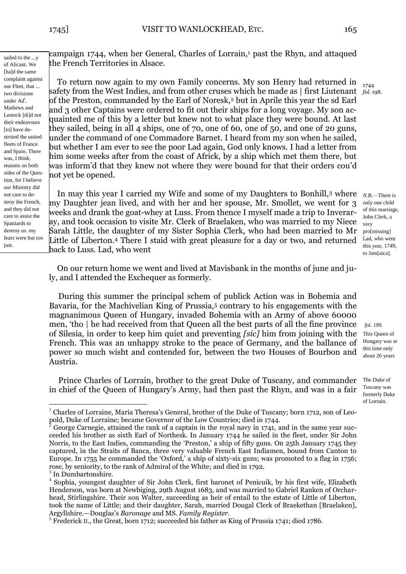1744 *fol.* 198.

sailed to the ...y of Alicant. We [ha]d the same complaint against our Fleet, that ... two divisions under Ad<sup>l</sup> . Mathews and Lestock [di]d not their endeavours [to] have destroied the united fleets of France and Spain. There was, I think, reasons on both sides of the Question, for I believe our Ministry did not care to destroy the French, and they did not care to assist the Spaniards to destroy us. my fears were but too just.

campaign 1744, when her General, Charles of Lorrain,<sup>1</sup> past the Rhyn, and attaqued the French Territories in Alsace.

To return now again to my own Family concerns. My son Henry had returned in safety from the West Indies, and from other cruses which he made as | first Liutenant of the Preston, commanded by the Earl of Noresk,<sup>2</sup> but in Aprile this year the sd Earl and 3 other Captains were ordered to fit out their ships for a long voyage. My son acquainted me of this by a letter but knew not to what place they were bound. At last they sailed, being in all 4 ships, one of 70, one of 60, one of 50, and one of 20 guns, under the command of one Commadore Barnet. I heard from my son when he sailed, but whether I am ever to see the poor Lad again, God only knows. I had a letter from him some weeks after from the coast of Africk, by a ship which met them there, but was inform'd that they knew not where they were bound for that their orders cou'd not yet be opened.

In may this year I carried my Wife and some of my Daughters to Bonhill,<sup>3</sup> where *N.B.*—There is my Daughter jean lived, and with her and her spouse, Mr. Smollet, we went for 3 weeks and drank the goat-whey at Luss. From thence I myself made a trip to Inveraray, and took occasion to visite Mr. Clerk of Braelaken, who was married to my Niece Sarah Little, the daughter of my Sister Sophia Clerk, who had been married to Mr Little of Liberton.<sup>4</sup> There I staid with great pleasure for a day or two, and returned back to Luss. Lad, who went

only one child of this marriage, John Clerk, a very pro[missing] Lad, who went this year, 1749, to Jam[aica].

*fol.* 199. This Queen of Hungary was at this time only about 26 years

of Lorrain.

On our return home we went and lived at Mavisbank in the months of june and july, and I attended the Exchequer as formerly.

During this summer the principal schem of publick Action was in Bohemia and Bavaria, for the Machivelian King of Prussia,<sup>5</sup> contrary to his engagements with the magnanimous Queen of Hungary, invaded Bohemia with an Army of above 60000 men, 'tho | he had received from that Queen all the best parts of all the fine province of Silesia, in order to keep him quiet and preventing *[sic]* him from joining with the French. This was an unhappy stroke to the peace of Germany, and the ballance of power so much wisht and contended for, between the two Houses of Bourbon and Austria.

Prince Charles of Lorrain, brother to the great Duke of Tuscany, and commander in chief of the Queen of Hungary's Army, had then past the Rhyn, and was in a fair The Duke of Tuscany was formerly Duke

1

<sup>&</sup>lt;sup>1</sup> Charles of Lorraine, Maria Theresa's General, brother of the Duke of Tuscany; born 1712, son of Leopold, Duke of Lorraine; became Governor of the Low Countries; died in 1744.

<sup>2</sup> George Carnegie, attained the rank of a captain in the royal navy in 1741, and in the same year succeeded his brother as sixth Earl of Northesk. In January 1744 he sailed in the fleet, under Sir John Norris, to the East Indies, commanding the 'Preston,' a ship of fifty guns. On 25th January 1745 they captured, in the Straits of Banca, three very valuable French East Indiamen, bound from Canton to Europe. In 1755 he commanded the 'Oxford,' a ship of sixty-six guns; was promoted to a flag in 1756; rose, by seniority, to the rank of Admiral of the White; and died in 1792.

<sup>&</sup>lt;sup>3</sup> In Dumbartonshire.

<sup>4</sup> Sophia, youngest daughter of Sir John Clerk, first baronet of Penicuik, by his first wife, Elizabeth Henderson, was born at Newbiging, 29th August 1683, and was married to Gabriel Ranken of Orcharhead, Stirlingshire. Their son Walter, succeeding as heir of entail to the estate of Little of Liberton, took the name of Little; and their daughter, Sarah, married Dougal Clerk of Braekethan [Braelaken], Argyllshire.—Douglas's *Baronage* and MS. *Family Register.*

<sup>&</sup>lt;sup>5</sup> Frederick II., the Great, born 1712; succeeded his father as King of Prussia 1741; died 1786.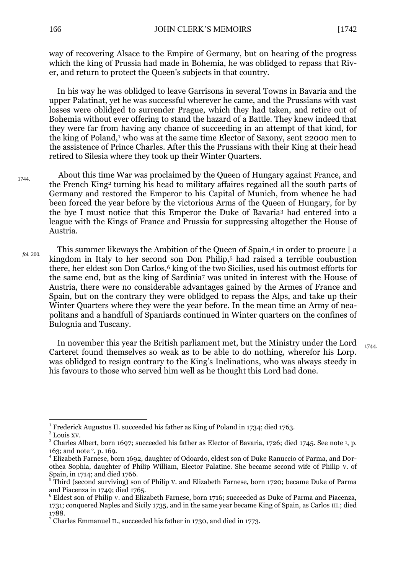way of recovering Alsace to the Empire of Germany, but on hearing of the progress which the king of Prussia had made in Bohemia, he was oblidged to repass that River, and return to protect the Queen's subjects in that country.

In his way he was oblidged to leave Garrisons in several Towns in Bavaria and the upper Palatinat, yet he was successful wherever he came, and the Prussians with vast losses were oblidged to surrender Prague, which they had taken, and retire out of Bohemia without ever offering to stand the hazard of a Battle. They knew indeed that they were far from having any chance of succeeding in an attempt of that kind, for the king of Poland,<sup>1</sup> who was at the same time Elector of Saxony, sent 22000 men to the assistence of Prince Charles. After this the Prussians with their King at their head retired to Silesia where they took up their Winter Quarters.

- About this time War was proclaimed by the Queen of Hungary against France, and the French King<sup>2</sup> turning his head to military affaires regained all the south parts of Germany and restored the Emperor to his Capital of Munich, from whence he had been forced the year before by the victorious Arms of the Queen of Hungary, for by the bye I must notice that this Emperor the Duke of Bavaria<sup>3</sup> had entered into a league with the Kings of France and Prussia for suppressing altogether the House of Austria. 1744.
	- This summer likeways the Ambition of the Queen of Spain,<sup>4</sup> in order to procure | a kingdom in Italy to her second son Don Philip,<sup>5</sup> had raised a terrible coubustion there, her eldest son Don Carlos,<sup>6</sup> king of the two Sicilies, used his outmost efforts for the same end, but as the king of Sardinia<sup>7</sup> was united in interest with the House of Austria, there were no considerable advantages gained by the Armes of France and Spain, but on the contrary they were oblidged to repass the Alps, and take up their Winter Quarters where they were the year before. In the mean time an Army of neapolitans and a handfull of Spaniards continued in Winter quarters on the confines of Bulognia and Tuscany. *fol.* 200.

In november this year the British parliament met, but the Ministry under the Lord Carteret found themselves so weak as to be able to do nothing, wherefor his Lorp. was oblidged to resign contrary to the King's Inclinations, who was always steedy in his favours to those who served him well as he thought this Lord had done.

<sup>1744.</sup>

<sup>&</sup>lt;u>.</u> 1 Frederick Augustus II. succeeded his father as King of Poland in 1734; died 1763.

<sup>2</sup> Louis XV.

 $3$  Charles Albert, born 1697; succeeded his father as Elector of Bavaria, 1726; died 1745. See note  $1$ , p. 163; and note <sup>2</sup>, p. 169.

<sup>4</sup> Elizabeth Farnese, born 1692, daughter of Odoardo, eldest son of Duke Ranuccio of Parma, and Dorothea Sophia, daughter of Philip William, Elector Palatine. She became second wife of Philip V. of Spain, in 1714; and died 1766.

<sup>&</sup>lt;sup>5</sup> Third (second surviving) son of Philip V. and Elizabeth Farnese, born 1720; became Duke of Parma and Piacenza in 1749; died 1765.

<sup>6</sup> Eldest son of Philip V. and Elizabeth Farnese, born 1716; succeeded as Duke of Parma and Piacenza, 1731; conquered Naples and Sicily 1735, and in the same year became King of Spain, as Carlos III.; died 1788.

 $7$  Charles Emmanuel II., succeeded his father in 1730, and died in 1773.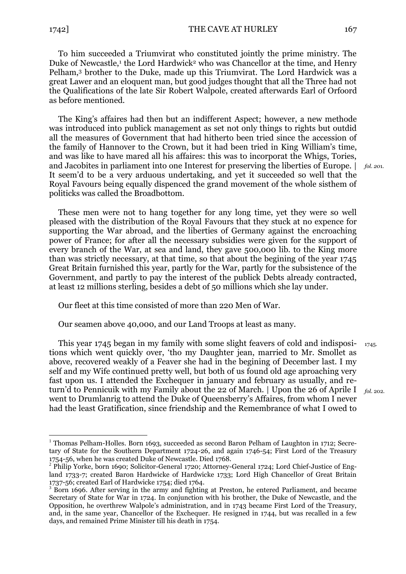1

To him succeeded a Triumvirat who constituted jointly the prime ministry. The Duke of Newcastle,<sup>1</sup> the Lord Hardwick<sup>2</sup> who was Chancellor at the time, and Henry Pelham,<sup>3</sup> brother to the Duke, made up this Triumvirat. The Lord Hardwick was a great Lawer and an eloquent man, but good judges thought that all the Three had not the Qualifications of the late Sir Robert Walpole, created afterwards Earl of Orfoord as before mentioned.

The King's affaires had then but an indifferent Aspect; however, a new methode was introduced into publick management as set not only things to rights but outdid all the measures of Government that had hitherto been tried since the accession of the family of Hannover to the Crown, but it had been tried in King William's time, and was like to have mared all his affaires: this was to incorporat the Whigs, Tories, and Jacobites in parliament into one Interest for preserving the liberties of Europe. | It seem'd to be a very arduous undertaking, and yet it succeeded so well that the Royal Favours being equally dispenced the grand movement of the whole sisthem of politicks was called the Broadbottom.

*fol. 20*1.

These men were not to hang together for any long time, yet they were so well pleased with the distribution of the Royal Favours that they stuck at no expence for supporting the War abroad, and the liberties of Germany against the encroaching power of France; for after all the necessary subsidies were given for the support of every branch of the War, at sea and land, they gave 500,000 lib. to the King more than was strictly necessary, at that time, so that about the begining of the year 1745 Great Britain furnished this year, partly for the War, partly for the subsistence of the Government, and partly to pay the interest of the publick Debts already contracted, at least 12 millions sterling, besides a debt of 50 millions which she lay under.

Our fleet at this time consisted of more than 220 Men of War.

Our seamen above 40,000, and our Land Troops at least as many.

This year 1745 began in my family with some slight feavers of cold and indispositions which went quickly over, 'tho my Daughter jean, married to Mr. Smollet as above, recovered weakly of a Feaver she had in the begining of December last. I my self and my Wife continued pretty well, but both of us found old age aproaching very fast upon us. I attended the Exchequer in january and february as usually, and return'd to Pennicuik with my Family about the 22 of March. | Upon the 26 of Aprile I went to Drumlanrig to attend the Duke of Queensberry's Affaires, from whom I never had the least Gratification, since friendship and the Remembrance of what I owed to *fol.* 202. 1745.

<sup>&</sup>lt;sup>1</sup> Thomas Pelham-Holles. Born 1693, succeeded as second Baron Pelham of Laughton in 1712; Secretary of State for the Southern Department 1724-26, and again 1746-54; First Lord of the Treasury 1754-56, when he was created Duke of Newcastle. Died 1768.

<sup>&</sup>lt;sup>2</sup> Philip Yorke, born 1690; Solicitor-General 1720; Attorney-General 1724; Lord Chief-Justice of England 1733-7; created Baron Hardwicke of Hardwicke 1733; Lord High Chancellor of Great Britain 1737-56; created Earl of Hardwicke 1754; died 1764.

<sup>&</sup>lt;sup>3</sup> Born 1696. After serving in the army and fighting at Preston, he entered Parliament, and became Secretary of State for War in 1724. In conjunction with his brother, the Duke of Newcastle, and the Opposition, he overthrew Walpole's administration, and in 1743 became First Lord of the Treasury, and, in the same year, Chancellor of the Exchequer. He resigned in 1744, but was recalled in a few days, and remained Prime Minister till his death in 1754.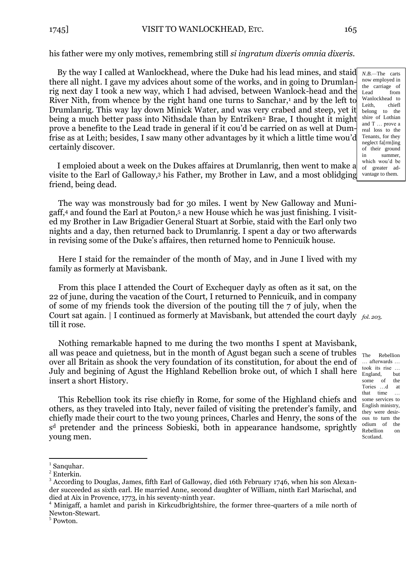By the way I called at Wanlockhead, where the Duke had his lead mines, and staid there all night. I gave my advices ahout some of the works, and in going to Drumlanrig next day I took a new way, which I had advised, between Wanlock-head and the River Nith, from whence by the right hand one turns to Sanchar, $<sup>1</sup>$  and by the left to</sup> Drumlanrig. This way lay down Minick Water, and was very crabed and steep, yet it being a much better pass into Nithsdale than by Entriken<sup>2</sup> Brae, I thought it might prove a benefite to the Lead trade in general if it cou'd be carried on as well at Dumfrise as at Leith; besides, I saw many other advantages by it which a little time wou'd certainly discover.

I emploied about a week on the Dukes affaires at Drumlanrig, then went to make a visite to the Earl of Galloway, <sup>3</sup> his Father, my Brother in Law, and a most oblidging friend, being dead.

The way was monstrously bad for 30 miles. I went by New Galloway and Munigaff,<sup>4</sup> and found the Earl at Pouton,<sup>5</sup> a new House which he was just finishing. I visited my Brother in Law Brigadier General Stuart at Sorbie, staid with the Earl only two nights and a day, then returned back to Drumlanrig. I spent a day or two afterwards in revising some of the Duke's affaires, then returned home to Pennicuik house.

Here I staid for the remainder of the month of May, and in June I lived with my family as formerly at Mavisbank.

From this place I attended the Court of Exchequer dayly as often as it sat, on the 22 of june, during the vacation of the Court, I returned to Pennicuik, and in company of some of my friends took the diversion of the pouting till the 7 of july, when the Court sat again. | I continued as formerly at Mavisbank, but attended the court dayly *fol. 20*3. till it rose.

Nothing remarkable hapned to me during the two months I spent at Mavisbank, all was peace and quietness, but in the month of Agust began such a scene of trubles over all Britain as shook the very foundation of its constitution, for about the end of July and begining of Agust the Highland Rebellion broke out, of which I shall here insert a short History.

This Rebellion took its rise chiefly in Rome, for some of the Highland chiefs and others, as they traveled into Italy, never failed of visiting the pretender's family, and chiefly made their court to the two young princes, Charles and Henry, the sons of the s <sup>d</sup> pretender and the princess Sobieski, both in appearance handsome, sprightly young men.

1

*N.B.—*The carts now employed in the carriage of Lead from Wanlockhead to Leith, chiefl belong to the shire of Lothian and T … prove a real loss to the Tenants, for they neglect fa[rm]ing of their ground in summer, which wou'd be of greater advantage to them.

Scotland.

 $<sup>1</sup>$  Sanquhar.</sup>

 $2$  Enterkin.

<sup>&</sup>lt;sup>3</sup> According to Douglas, James, fifth Earl of Galloway, died 16th February 1746, when his son Alexander succeeded as sixth earl. He married Anne, second daughter of William, ninth Earl Marischal, and died at Aix in Provence, 1773, in his seventy-ninth year.

<sup>&</sup>lt;sup>4</sup> Minigaff, a hamlet and parish in Kirkcudbrightshire, the former three-quarters of a mile north of Newton-Stewart.

<sup>5</sup> Powton.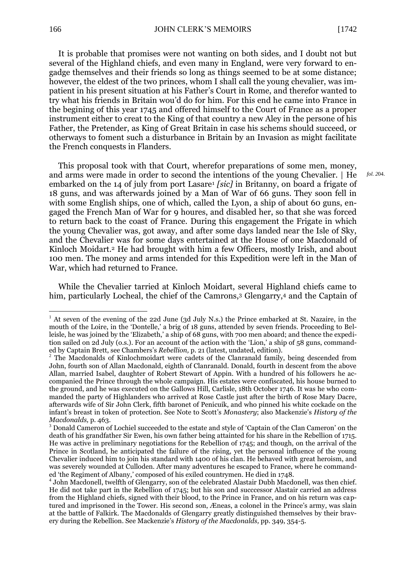*fol. 2*04.

It is probable that promises were not wanting on both sides, and I doubt not but several of the Highland chiefs, and even many in England, were very forward to engadge themselves and their friends so long as things seemed to be at some distance; however, the eldest of the two princes, whom I shall call the young chevalier, was impatient in his present situation at his Father's Court in Rome, and therefor wanted to try what his friends in Britain wou'd do for him. For this end he came into France in the begining of this year 1745 and offered himself to the Court of France as a proper instrument either to creat to the King of that country a new Aley in the persone of his Father, the Pretender, as King of Great Britain in case his schems should succeed, or otherways to foment such a disturbance in Britain by an Invasion as might facilitate the French conquests in Flanders.

This proposal took with that Court, wherefor preparations of some men, money, and arms were made in order to second the intentions of the young Chevalier. | He embarked on the 14 of july from port Lasare<sup>1</sup> *[sic]* in Britanny, on board a frigate of 18 guns, and was afterwards joined by a Man of War of 66 guns. They soon fell in with some English ships, one of which, called the Lyon, a ship of about 60 guns, engaged the French Man of War for 9 houres, and disabled her, so that she was forced to return back to the coast of France. During this engagement the Frigate in which the young Chevalier was, got away, and after some days landed near the Isle of Sky, and the Chevalier was for some days entertained at the House of one Macdonald of Kinloch Moidart.<sup>2</sup> He had brought with him a few Officers, mostly Irish, and about 100 men. The money and arms intended for this Expedition were left in the Man of War, which had returned to France.

While the Chevalier tarried at Kinloch Moidart, several Highland chiefs came to him, particularly Locheal, the chief of the Camrons,<sup>3</sup> Glengarry,<sup>4</sup> and the Captain of

<u>.</u>

<sup>&</sup>lt;sup>1</sup> At seven of the evening of the 22d June (3d July N.s.) the Prince embarked at St. Nazaire, in the mouth of the Loire, in the 'Dontelle,' a brig of 18 guns, attended by seven friends. Proceeding to Belleisle, he was joined by the 'Elizabeth,' a ship of 68 guns, with 700 men aboard; and thence the expedition sailed on 2d July (o.s.). For an account of the action with the 'Lion,' a ship of 58 guns, commanded by Captain Brett, see Chambers's *Rebellion,* p. 21 (latest, undated, edition).

<sup>&</sup>lt;sup>2</sup> The Macdonalds of Kinlochmoidart were cadets of the Clanranald family, being descended from John, fourth son of Allan Macdonald, eighth of Clanranald. Donald, fourth in descent from the above Allan, married Isabel, daughter of Robert Stewart of Appin. With a hundred of his followers he accompanied the Prince through the whole campaign. His estates were confiscated, his house burned to the ground, and he was executed on the Gallows Hill, Carlisle, 18th October 1746. It was he who commanded the party of Highlanders who arrived at Rose Castle just after the birth of Rose Mary Dacre, afterwards wife of Sir John Clerk, fifth baronet of Penicuik, and who pinned his white cockade on the infant's breast in token of protection. See Note to Scott's *Monastery*; also Mackenzie's *History of the Macdonalds,* p. 463.

<sup>&</sup>lt;sup>3</sup> Donald Cameron of Lochiel succeeded to the estate and style of 'Captain of the Clan Cameron' on the death of his grandfather Sir Ewen, his own father being attainted for his share in the Rebellion of 1715. He was active in preliminary negotiations for the Rebellion of 1745; and though, on the arrival of the Prince in Scotland, he anticipated the failure of the rising, yet the personal influence of the young Chevalier induced him to join his standard with 1400 of his clan. He behaved with great heroism, and was severely wounded at Culloden. After many adventures he escaped to France, where he commanded 'the Regiment of Albany,' composed of his exiled countrymen. He died in 1748.

<sup>4</sup> John Macdonell, twelfth of Glengarry, son of the celebrated Alastair Dubh Macdonell, was then chief. He did not take part in the Rebellion of 1745; but his son and succcessor Alastair carried an address from the Highland chiefs, signed with their blood, to the Prince in France, and on his return was captured and imprisoned in the Tower. His second son, Æneas, a colonel in the Prince's army, was slain at the battle of Falkirk. The Macdonalds of Glengarry greatly distinguished themselves by their bravery during the Rebellion. See Mackenzie's *History of the Macdonalds,* pp. 349, 354-5.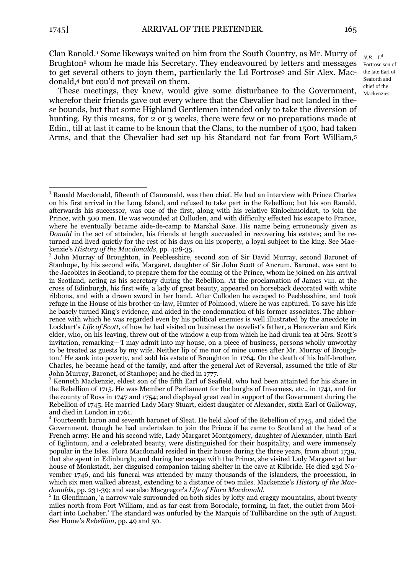1

Clan Ranold.<sup>1</sup> Some likeways waited on him from the South Country, as Mr. Murry of Brughton<sup>2</sup> whom he made his Secretary. They endeavoured by letters and messages Fortrose son of to get several others to joyn them, particularly the Ld Fortrose<sup>3</sup> and Sir Alex. Macdonald,<sup>4</sup> but cou'd not prevail on them.

These meetings, they knew, would give some disturbance to the Government, wherefor their friends gave out every where that the Chevalier had not landed in these bounds, but that some Highland Gentlemen intended only to take the diversion of hunting. By this means, for 2 or 3 weeks, there were few or no preparations made at Edin., till at last it came to be knoun that the Clans, to the number of 1500, had taken Arms, and that the Chevalier had set up his Standard not far from Fort William,<sup>5</sup>

*N.B.—*L d the late Earl of Seaforth and chief of the Mackenzies.

<sup>&</sup>lt;sup>1</sup> Ranald Macdonald, fifteenth of Clanranald, was then chief. He had an interview with Prince Charles on his first arrival in the Long Island, and refused to take part in the Rebellion; but his son Ranald, afterwards his successor, was one of the first, along with his relative Kinlochmoidart, to join the Prince, with 500 men. He was wounded at Culloden, and with difficulty effected his escape to France, where he eventually became aide-de-camp to Marshal Saxe. His name being erroneously given as *Donald* in the act of attainder, his friends at length succeeded in recovering his estates; and he returned and lived quietly for the rest of his days on his property, a loyal subject to the king. See Mackenzie's *History of the Macdonalds,* pp. 428-35.

<sup>&</sup>lt;sup>2</sup> John Murray of Broughton, in Peeblesshire, second son of Sir David Murray, second Baronet of Stanhope, by his second wife, Margaret, daughter of Sir John Scott of Ancrum, Baronet, was sent to the Jacobites in Scotland, to prepare them for the coming of the Prince, whom he joined on his arrival in Scotland, acting as his secretary during the Rebellion. At the proclamation of James VIII. at the cross of Edinburgh, his first wife, a lady of great beauty, appeared on horseback decorated with white ribbons, and with a drawn sword in her hand. After Culloden he escaped to Peeblesshire, and took refuge in the House of his brother-in-law, Hunter of Polmood, where he was captured. To save his life he basely turned King's evidence, and aided in the condemnation of his former associates. The abhorrence with which he was regarded even by his political enemies is well illustrated by the anecdote in Lockhart's *Life of Scott*, of how he had visited on business the novelist's father, a Hanoverian and Kirk elder, who, on his leaving, threw out of the window a cup from which he had drunk tea at Mrs. Scott's invitation, remarking—'I may admit into my house, on a piece of business, persons wholly unworthy to be treated as guests by my wife. Neither lip of me nor of mine comes after Mr. Murray of Broughton.' He sank into poverty, and sold his estate of Broughton in 1764. On the death of his half-brother, Charles, he became head of the family, and after the general Act of Reversal, assumed the title of Sir John Murray, Baronet, of Stanhope; and he died in 1777.

<sup>&</sup>lt;sup>3</sup> Kenneth Mackenzie, eldest son of the fifth Earl of Seafield, who had been attainted for his share in the Rebellion of 1715. He was Member of Parliament for the burghs of Inverness, etc., in 1741, and for the county of Ross in 1747 and 1754; and displayed great zeal in support of the Government during the Rebellion of 1745. He married Lady Mary Stuart, eldest daughter of Alexander, sixth Earl of Galloway, and died in London in 1761.

<sup>&</sup>lt;sup>4</sup> Fourteenth baron and seventh baronet of Sleat. He held aloof of the Rebellion of 1745, and aided the Government, though he had undertaken to join the Prince if he came to Scotland at the head of a French army. He and his second wife, Lady Margaret Montgomery, daughter of Alexander, ninth Earl of Eglintoun, and a celebrated beauty, were distinguished for their hospitality, and were immensely popular in the Isles. Flora Macdonald resided in their house during the three years, from about 1739, that she spent in Edinburgh; and during her escape with the Prince, she visited Lady Margaret at her house of Monkstadt, her disguised companion taking shelter in the cave at Kilbride. He died 23d November 1746, and his funeral was attended by many thousands of the islanders, the procession, in which six men walked abreast, extending to a distance of two miles. Mackenzie's *History of the Macdonalds,* pp. 231-39; and see also Macgregor's *Life of Flora Macdonald.*

<sup>&</sup>lt;sup>5</sup> In Glenfinnan, 'a narrow vale surrounded on both sides by lofty and craggy mountains, about twenty miles north from Fort William, and as far east from Borodale, forming, in fact, the outlet from Moidart into Lochaber.' The standard was unfurled by the Marquis of Tullibardine on the 19th of August. See Home's *Rebellion,* pp. 49 and 50.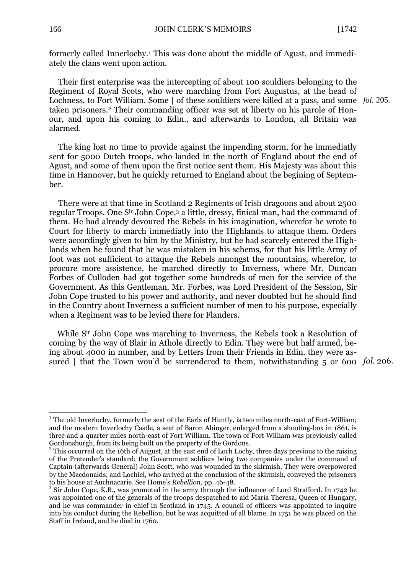formerly called Innerlochy.<sup>1</sup> This was done about the middle of Agust, and immediately the clans went upon action.

Their first enterprise was the intercepting of about 100 souldiers belonging to the Regiment of Royal Scots, who were marching from Fort Augustus, at the head of Lochness, to Fort William. Some | of these souldiers were killed at a pass, and some *fol.* 205. taken prisoners.<sup>2</sup> Their commanding officer was set at liberty on his parole of Honour, and upon his coming to Edin., and afterwards to London, all Britain was alarmed.

The king lost no time to provide against the impending storm, for he immediatly sent for 5000 Dutch troops, who landed in the north of England about the end of Agust, and some of them upon the first notice sent them. His Majesty was about this time in Hannover, but he quickly returned to England about the begining of September.

There were at that time in Scotland 2 Regiments of Irish dragoons and about 2500 regular Troops. One Sir John Cope,<sup>3</sup> a little, dressy, finical man, had the command of them. He had already devoured the Rebels in his imagination, wherefor he wrote to Court for liberty to march immediatly into the Highlands to attaque them. Orders were accordingly given to him by the Ministry, but he had scarcely entered the Highlands when he found that he was mistaken in his schems, for that his little Army of foot was not sufficient to attaque the Rebels amongst the mountains, wherefor, to procure more assistence, he marched directly to Inverness, where Mr. Duncan Forbes of Culloden had got together some hundreds of men for the service of the Government. As this Gentleman, Mr. Forbes, was Lord President of the Session, Sir John Cope trusted to his power and authority, and never doubted but he should find in the Country about Inverness a sufficient number of men to his purpose, especially when a Regiment was to be levied there for Flanders.

While S<sup>ir</sup> John Cope was marching to Inverness, the Rebels took a Resolution of coming by the way of Blair in Athole directly to Edin. They were but half armed, being about 4000 in number, and by Letters from their Friends in Edin. they were assured | that the Town wou'd be surrendered to them, notwithstanding 5 or 600 fol. 206.

1

<sup>&</sup>lt;sup>1</sup> The old Inverlochy, formerly the seat of the Earls of Huntly, is two miles north-east of Fort-William; and the modern Inverlochy Castle, a seat of Baron Abinger, enlarged from a shooting-box in 1861, is three and a quarter miles north-east of Fort William. The town of Fort William was previously called Gordonsburgh, from its being built on the property of the Gordons.

<sup>&</sup>lt;sup>2</sup> This occurred on the 16th of August, at the east end of Loch Lochy, three days previous to the raising of the Pretender's standard; the Government soldiers being two companies under the command of Captain (afterwards General) John Scott, who was wounded in the skirmish. They were overpowered by the Macdonalds; and Lochiel, who arrived at the conclusion of the skirmish, conveyed the prisoners to his house at Auchnacarie. See Home's *Rebellion,* pp. 46-48.

<sup>&</sup>lt;sup>3</sup> Sir John Cope, K.B., was promoted in the army through the influence of Lord Strafford. In 1742 he was appointed one of the generals of the troops despatched to aid Maria Theresa, Queen of Hungary, and he was commander-in-chief in Scotland in 1745. A council of officers was appointed to inquire into his conduct during the Rebellion, but he was acquitted of all blame. In 1751 he was placed on the Staff in Ireland, and he died in 1760.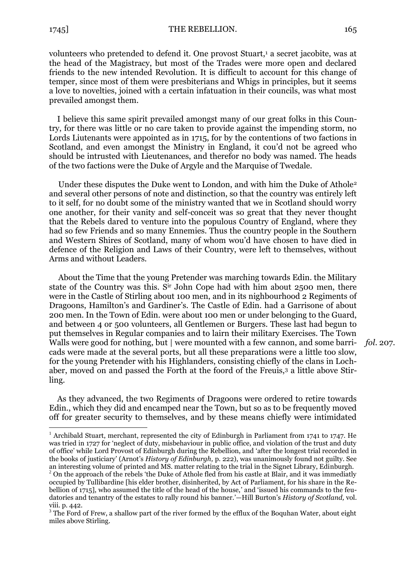<u>.</u>

volunteers who pretended to defend it. One provost Stuart,<sup>1</sup> a secret jacobite, was at the head of the Magistracy, but most of the Trades were more open and declared friends to the new intended Revolution. It is difficult to account for this change of temper, since most of them were presbiterians and Whigs in principles, but it seems a love to novelties, joined with a certain infatuation in their councils, was what most prevailed amongst them.

I believe this same spirit prevailed amongst many of our great folks in this Country, for there was little or no care taken to provide against the impending storm, no Lords Liutenants were appointed as in 1715, for by the contentions of two factions in Scotland, and even amongst the Ministry in England, it cou'd not be agreed who should be intrusted with Lieutenances, and therefor no body was named. The heads of the two factions were the Duke of Argyle and the Marquise of Twedale.

Under these disputes the Duke went to London, and with him the Duke of Athole<sup>2</sup> and several other persons of note and distinction, so that the country was entirely left to it self, for no doubt some of the ministry wanted that we in Scotland should worry one another, for their vanity and self-conceit was so great that they never thought that the Rebels dared to venture into the populous Country of England, where they had so few Friends and so many Ennemies. Thus the country people in the Southern and Western Shires of Scotland, many of whom wou'd have chosen to have died in defence of the Religion and Laws of their Country, were left to themselves, without Arms and without Leaders.

About the Time that the young Pretender was marching towards Edin. the Military state of the Country was this. Sir John Cope had with him about 2500 men, there were in the Castle of Stirling about 100 men, and in its nighbourhood 2 Regiments of Dragoons, Hamilton's and Gardiner's. The Castle of Edin. had a Garrisone of about 200 men. In the Town of Edin. were about 100 men or under belonging to the Guard, and between 4 or 500 volunteers, all Gentlemen or Burgers. These last had begun to put themselves in Regular companies and to lairn their military Exercises. The Town Walls were good for nothing, but | were mounted with a few cannon, and some barricads were made at the several ports, but all these preparations were a little too slow, for the young Pretender with his Highlanders, consisting chiefly of the clans in Lochaber, moved on and passed the Forth at the foord of the Freuis,<sup>3</sup> a little above Stirling.

*fol*. 207.

As they advanced, the two Regiments of Dragoons were ordered to retire towards Edin., which they did and encamped near the Town, but so as to be frequently moved off for greater security to themselves, and by these means chiefly were intimidated

<sup>&</sup>lt;sup>1</sup> Archibald Stuart, merchant, represented the city of Edinburgh in Parliament from 1741 to 1747. He was tried in 1727 for 'neglect of duty, misbehaviour in public office, and violation of the trust and duty of office' while Lord Provost of Edinburgh during the Rebellion, and 'after the longest trial recorded in the books of justiciary' (Arnot's *History of Edinburgh,* p. 222), was unanimously found not guilty. See an interesting volume of printed and MS. matter relating to the trial in the Signet Library, Edinburgh.

 $2$  On the approach of the rebels 'the Duke of Athole fled from his castle at Blair, and it was immediatly occupied by Tullibardine [his elder brother, disinherited, by Act of Parliament, for his share in the Rebellion of 1715], who assumed the title of the head of the house,' and 'issued his commands to the feudatories and tenantry of the estates to rally round his banner.'—Hill Burton's *History of Scotland,* vol. viii. p. 442.

<sup>&</sup>lt;sup>3</sup> The Ford of Frew, a shallow part of the river formed by the efflux of the Boquhan Water, about eight miles above Stirling.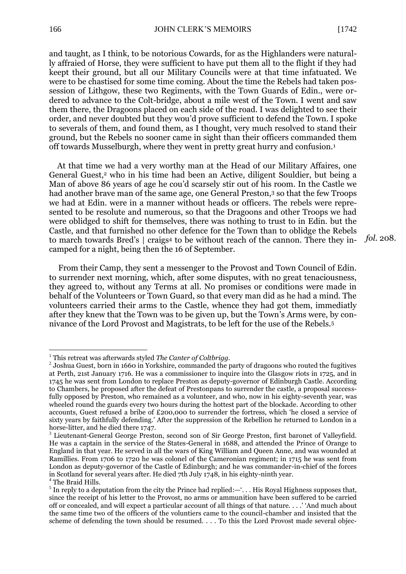*fol.* 208.

and taught, as I think, to be notorious Cowards, for as the Highlanders were naturally affraied of Horse, they were sufficient to have put them all to the flight if they had keept their ground, but all our Military Councils were at that time infatuated. We were to be chastised for some time coming. About the time the Rebels had taken possession of Lithgow, these two Regiments, with the Town Guards of Edin., were ordered to advance to the Colt-bridge, about a mile west of the Town. I went and saw them there, the Dragoons placed on each side of the road. I was delighted to see their order, and never doubted but they wou'd prove sufficient to defend the Town. I spoke to severals of them, and found them, as I thought, very much resolved to stand their ground, but the Rebels no sooner came in sight than their officers commanded them off towards Musselburgh, where they went in pretty great hurry and confusion.<sup>1</sup>

At that time we had a very worthy man at the Head of our Military Affaires, one General Guest,<sup>2</sup> who in his time had been an Active, diligent Souldier, but being a Man of above 86 years of age he cou'd scarsely stir out of his room. In the Castle we had another brave man of the same age, one General Preston,<sup>3</sup> so that the few Troops we had at Edin. were in a manner without heads or officers. The rebels were represented to be resolute and numerous, so that the Dragoons and other Troops we had were oblidged to shift for themselves, there was nothing to trust to in Edin. but the Castle, and that furnished no other defence for the Town than to oblidge the Rebels to march towards Bred's | craigs<sup>4</sup> to be without reach of the cannon. There they incamped for a night, being then the 16 of September.

From their Camp, they sent a messenger to the Provost and Town Council of Edin. to surrender next morning, which, after some disputes, with no great tenaciousness, they agreed to, without any Terms at all. No promises or conditions were made in behalf of the Volunteers or Town Guard, so that every man did as he had a mind. The volunteers carried their arms to the Castle, whence they had got them, immediatly after they knew that the Town was to be given up, but the Town's Arms were, by connivance of the Lord Provost and Magistrats, to be left for the use of the Rebels.<sup>5</sup>

1

<sup>1</sup> This retreat was afterwards styled *The Canter of Coltbrigg.*

 $2$  Joshua Guest, born in 1660 in Yorkshire, commanded the party of dragoons who routed the fugitives at Perth, 21st January 1716. He was a commissioner to inquire into the Glasgow riots in 1725, and in 1745 he was sent from London to replace Preston as deputy-governor of Edinburgh Castle. According to Chambers, he proposed after the defeat of Prestonpans to surrender the castle, a proposal successfully opposed by Preston, who remained as a volunteer, and who, now in his eighty-seventh year, was wheeled round the guards every two hours during the hottest part of the blockade. According to other accounts, Guest refused a bribe of £200,000 to surrender the fortress, which 'he closed a service of sixty years by faithfully defending.' After the suppression of the Rebellion he returned to London in a horse-litter, and he died there 1747.

<sup>&</sup>lt;sup>3</sup> Lieutenant-General George Preston, second son of Sir George Preston, first baronet of Valleyfield. He was a captain in the service of the States-General in 1688, and attended the Prince of Orange to England in that year. He served in all the wars of King William and Queen Anne, and was wounded at Ramillies. From 1706 to 1720 he was colonel of the Cameronian regiment; in 1715 he was sent from London as deputy-governor of the Castle of Edinburgh; and he was commander-in-chief of the forces in Scotland for several years after. He died 7th July 1748, in his eighty-ninth year.

 $^4$  The Braid Hills.

<sup>&</sup>lt;sup>5</sup> In reply to a deputation from the city the Prince had replied:—'... His Royal Highness supposes that, since the receipt of his letter to the Provost, no arms or ammunition have been suffered to be carried off or concealed, and will expect a particular account of all things of that nature. . . .' 'And much about the same time two of the officers of the voluntiers came to the council-chamber and insisted that the scheme of defending the town should be resumed. . . . To this the Lord Provost made several objec-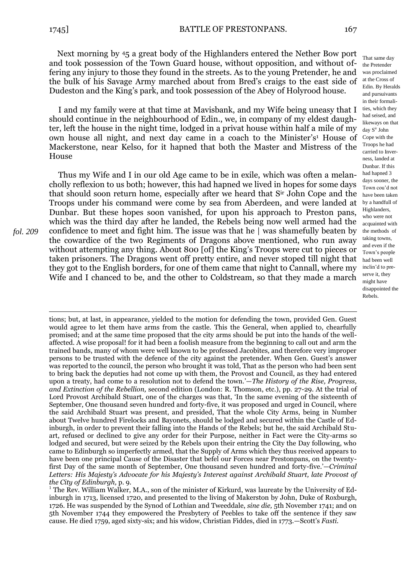Next morning by 45 a great body of the Highlanders entered the Nether Bow port and took possession of the Town Guard house, without opposition, and without offering any injury to those they found in the streets. As to the young Pretender, he and the bulk of his Savage Army marched about from Bred's craigs to the east side of Dudeston and the King's park, and took possession of the Abey of Holyrood house.

I and my family were at that time at Mavisbank, and my Wife being uneasy that I should continue in the neighbourhood of Edin., we, in company of my eldest daughter, left the house in the night time, lodged in a privat house within half a mile of my own house all night, and next day came in a coach to the Minister's <sup>1</sup> House of Mackerstone, near Kelso, for it hapned that both the Master and Mistress of the House

Thus my Wife and I in our old Age came to be in exile, which was often a melancholly reflexion to us both; however, this had hapned we lived in hopes for some days that should soon return home, especially after we heard that Sir John Cope and the Troops under his command were come by sea from Aberdeen, and were landed at Dunbar. But these hopes soon vanished, for upon his approach to Preston pans, which was the third day after he landed, the Rebels being now well armed had the confidence to meet and fight him. The issue was that he | was shamefully beaten by the cowardice of the two Regiments of Dragons above mentioned, who run away without attempting any thing. About 800 [of] the King's Troops were cut to pieces or taken prisoners. The Dragons went off pretty entire, and never stoped till night that they got to the English borders, for one of them came that night to Cannall, where my Wife and I chanced to be, and the other to Coldstream, so that they made a march

*fol. 209*

1 tions; but, at last, in appearance, yielded to the motion for defending the town, provided Gen. Guest would agree to let them have arms from the castle. This the General, when applied to, chearfully promised; and at the same time proposed that the city arms should be put into the hands of the wellaffected. A wise proposal! for it had been a foolish measure from the beginning to call out and arm the trained bands, many of whom were well known to be professed Jacobites, and therefore very improper persons to be trusted with the defence of the city against the pretender. When Gen. Guest's answer was reported to the council, the person who brought it was told, That as the person who had been sent to bring back the deputies had not come up with them, the Provost and Council, as they had entered upon a treaty, had come to a resolution not to defend the town.'—*The History of the Rise, Progress, and Extinction of the Rebellion,* second edition (London: R. Thomson, etc.), pp. 27-29. At the trial of Lord Provost Archibald Stuart, one of the charges was that, 'In the same evening of the sixteenth of September, One thousand seven hundred and forty-five, it was proposed and urged in Council, where the said Archibald Stuart was present, and presided, That the whole City Arms, being in Number about Twelve hundred Firelocks and Bayonets, should be lodged and secured within the Castle of Edinburgh, in order to prevent their falling into the Hands of the Rebels; but he, the said Archibald Stuart, refused or declined to give any order for their Purpose, neither in Fact were the City-arms so lodged and secured, but were seized by the Rebels upon their entring the City the Day following, who came to Edinburgh so imperfectly armed, that the Supply of Arms which they thus received appears to have been one principal Cause of the Disaster that befel our Forces near Prestonpans, on the twentyfirst Day of the same month of September, One thousand seven hundred and forty-five.'—*Criminal Letters: His Majesty's Advocate for his Majesty's Interest against Archibald Stuart, late Provost of the City of Edinburgh,* p. 9.

That same day the Pretender was proclaimed at the Cross of Edin. By Heralds and pursuivants in their formalities, which they had seised, and likeways on that day Sir John Cope with the Troops he had carried to Inverness, landed at Dunbar. If this had hapned 3 days sooner, the Town cou'd not have been taken by a handfull of Highlanders, who were not acquainted with the methods of taking towns, and even if the Town's people had been well inclin'd to preserve it, they might have disappointed the Rebels.

 $1$  The Rev. William Walker, M.A., son of the minister of Kirkurd, was laureate by the University of Edinburgh in 1713, licensed 1720, and presented to the living of Makerston by John, Duke of Roxburgh, 1726. He was suspended by the Synod of Lothian and Tweeddale, *sine die,* 5th November 1741; and on 5th November 1744 they empowered the Presbytery of Peebles to take off the sentence if they saw cause. He died 1759, aged sixty-six; and his widow, Christian Fiddes, died in 1773.—Scott's *Fasti.*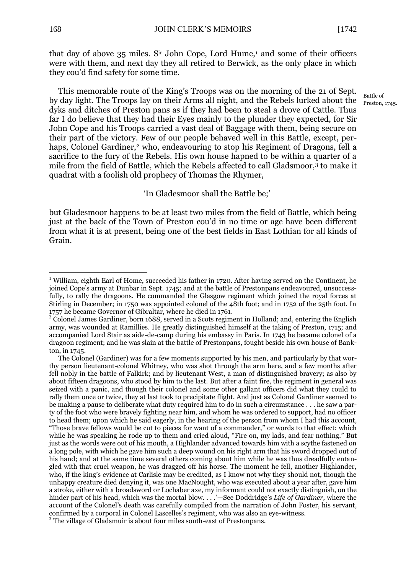Battle of Preston, 1745.

that day of above  $35$  miles. S<sup>ir</sup> John Cope, Lord Hume,<sup>1</sup> and some of their officers were with them, and next day they all retired to Berwick, as the only place in which they cou'd find safety for some time.

This memorable route of the King's Troops was on the morning of the 21 of Sept. by day light. The Troops lay on their Arms all night, and the Rebels lurked about the dyks and ditches of Preston pans as if they had been to steal a drove of Cattle. Thus far I do believe that they had their Eyes mainly to the plunder they expected, for Sir John Cope and his Troops carried a vast deal of Baggage with them, being secure on their part of the victory. Few of our people behaved well in this Battle, except, perhaps, Colonel Gardiner,<sup>2</sup> who, endeavouring to stop his Regiment of Dragons, fell a sacrifice to the fury of the Rebels. His own house hapned to be within a quarter of a mile from the field of Battle, which the Rebels affected to call Gladsmoor,<sup>3</sup> to make it quadrat with a foolish old prophecy of Thomas the Rhymer,

'In Gladesmoor shall the Battle be;'

but Gladesmoor happens to be at least two miles from the field of Battle, which being just at the back of the Town of Preston cou'd in no time or age have been different from what it is at present, being one of the best fields in East Lothian for all kinds of Grain.

<u>.</u>

<sup>&</sup>lt;sup>1</sup> William, eighth Earl of Home, succeeded his father in 1720. After having served on the Continent, he joined Cope's army at Dunbar in Sept. 1745; and at the battle of Prestonpans endeavoured, unsuccessfully, to rally the dragoons. He commanded the Glasgow regiment which joined the royal forces at Stirling in December; in 1750 was appointed colonel of the 48th foot; and in 1752 of the 25th foot. In 1757 he became Governor of Gibraltar, where he died in 1761.

<sup>&</sup>lt;sup>2</sup> Colonel James Gardiner, born 1688, served in a Scots regiment in Holland; and, entering the English army, was wounded at Ramillies. He greatly distinguished himself at the taking of Preston, 1715; and accompanied Lord Stair as aide-de-camp during his embassy in Paris. In 1743 he became colonel of a dragoon regiment; and he was slain at the battle of Prestonpans, fought beside his own house of Bankton, in 1745.

The Colonel (Gardiner) was for a few moments supported by his men, and particularly by that worthy person lieutenant-colonel Whitney, who was shot through the arm here, and a few months after fell nobly in the battle of Falkirk; and by lieutenant West, a man of distinguished bravery; as also by about fifteen dragoons, who stood by him to the last. But after a faint fire, the regiment in general was seized with a panic, and though their colonel and some other gallant officers did what they could to rally them once or twice, they at last took to precipitate flight. And just as Colonel Gardiner seemed to be making a pause to deliberate what duty required him to do in such a circumstance . . . he saw a party of the foot who were bravely fighting near him, and whom he was ordered to support, had no officer to head them; upon which he said eagerly, in the hearing of the person from whom I had this account, "Those brave fellows would be cut to pieces for want of a commander," or words to that effect: which while he was speaking he rode up to them and cried aloud, "Fire on, my lads, and fear nothing." But just as the words were out of his mouth, a Highlander advanced towards him with a scythe fastened on a long pole, with which he gave him such a deep wound on his right arm that his sword dropped out of his hand; and at the same time several others coming about him while he was thus dreadfully entangled with that cruel weapon, he was dragged off his horse. The moment he fell, another Highlander, who, if the king's evidence at Carlisle may be credited, as I know not why they should not, though the unhappy creature died denying it, was one MacNought, who was executed about a year after, gave him a stroke, either with a broadsword or Lochaber axe, my informant could not exactly distinguish, on the hinder part of his head, which was the mortal blow. . . .'—See Doddridge's *Life of Gardiner,* where the account of the Colonel's death was carefully compiled from the narration of John Foster, his servant, confirmed by a corporal in Colonel Lascelles's regiment, who was also an eye-witness. <sup>3</sup> The village of Gladsmuir is about four miles south-east of Prestonpans.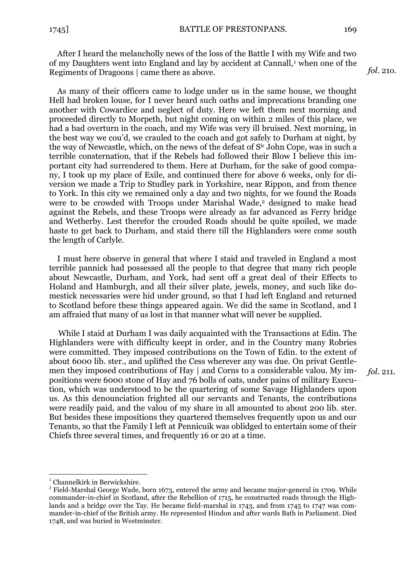After I heard the melancholly news of the loss of the Battle I with my Wife and two of my Daughters went into England and lay by accident at Cannall,<sup>1</sup> when one of the Regiments of Dragoons | came there as above.

As many of their officers came to lodge under us in the same house, we thought Hell had broken louse, for I never heard such oaths and imprecations branding one another with Cowardice and neglect of duty. Here we left them next morning and proceeded directly to Morpeth, but night coming on within 2 miles of this place, we had a bad overturn in the coach, and my Wife was very ill bruised. Next morning, in the best way we cou'd, we crauled to the coach and got safely to Durham at night, by the way of Newcastle, which, on the news of the defeat of Sir John Cope, was in such a terrible consternation, that if the Rebels had followed their Blow I believe this important city had surrendered to them. Here at Durham, for the sake of good company, I took up my place of Exile, and continued there for above 6 weeks, only for diversion we made a Trip to Studley park in Yorkshire, near Rippon, and from thence to York. In this city we remained only a day and two nights, for we found the Roads were to be crowded with Troops under Marishal Wade,<sup>2</sup> designed to make head against the Rebels, and these Troops were already as far advanced as Ferry bridge and Wetherby. Lest therefor the crouded Roads should be quite spoiled, we made haste to get back to Durham, and staid there till the Highlanders were come south the length of Carlyle.

I must here observe in general that where I staid and traveled in England a most terrible pannick had possessed all the people to that degree that many rich people about Newcastle, Durham, and York, had sent off a great deal of their Effects to Holand and Hamburgh, and all their silver plate, jewels, money, and such like domestick necessaries were hid under ground, so that I had left England and returned to Scotland before these things appeared again. We did the same in Scotland, and I am affraied that many of us lost in that manner what will never be supplied.

While I staid at Durham I was daily acquainted with the Transactions at Edin. The Highlanders were with difficulty keept in order, and in the Country many Robries were committed. They imposed contributions on the Town of Edin. to the extent of about 6000 lib. ster., and uplifted the Cess wherever any was due. On privat Gentlemen they imposed contributions of Hay | and Corns to a considerable valou. My impositions were 6000 stone of Hay and 76 bolls of oats, under pains of military Execution, which was understood to be the quartering of some Savage Highlanders upon us. As this denounciation frighted all our servants and Tenants, the contributions were readily paid, and the valou of my share in all amounted to about 200 lib. ster. But besides these impositions they quartered themselves frequently upon us and our Tenants, so that the Family I left at Pennicuik was oblidged to entertain some of their Chiefs three several times, and frequently 16 or 20 at a time.

1

*fol.* 211.

*fol*. 21o.

 $<sup>1</sup>$  Channelkirk in Berwickshire.</sup>

<sup>&</sup>lt;sup>2</sup> Field-Marshal George Wade, born 1673, entered the army and became major-general in 1709. While commander-in-chief in Scotland, after the Rebellion of 1715, he constructed roads through the Highlands and a bridge over the Tay. He became field-marshal in 1743, and from 1745 to 1747 was commander-in-chief of the British army. He represented Hindon and after wards Bath in Parliament. Died 1748, and was buried in Westminster.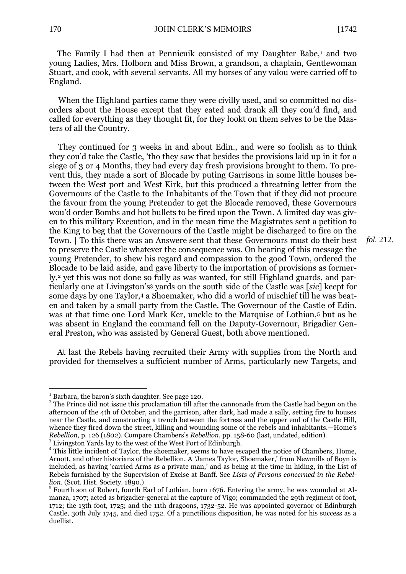*fol.* 212.

The Family I had then at Pennicuik consisted of my Daughter Babe,<sup>1</sup> and two young Ladies, Mrs. Holborn and Miss Brown, a grandson, a chaplain, Gentlewoman Stuart, and cook, with several servants. All my horses of any valou were carried off to England.

When the Highland parties came they were civilly used, and so committed no disorders about the House except that they eated and drank all they cou'd find, and called for everything as they thought fit, for they lookt on them selves to be the Masters of all the Country.

They continued for 3 weeks in and about Edin., and were so foolish as to think they cou'd take the Castle, 'tho they saw that besides the provisions laid up in it for a siege of 3 or 4 Months, they had every day fresh provisions brought to them. To prevent this, they made a sort of Blocade by puting Garrisons in some little houses between the West port and West Kirk, but this produced a threatning letter from the Governours of the Castle to the Inhabitants of the Town that if they did not procure the favour from the young Pretender to get the Blocade removed, these Governours wou'd order Bombs and hot bullets to be fired upon the Town. A limited day was given to this military Execution, and in the mean time the Magistrates sent a petition to the King to beg that the Governours of the Castle might be discharged to fire on the Town. | To this there was an Answere sent that these Governours must do their best to preserve the Castle whatever the consequence was. On hearing of this message the young Pretender, to shew his regard and compassion to the good Town, ordered the Blocade to be laid aside, and gave liberty to the importation of provisions as formerly,<sup>2</sup> yet this was not done so fully as was wanted, for still Highland guards, and particularly one at Livingston's <sup>3</sup> yards on the south side of the Castle was [*sic*] keept for some days by one Taylor,<sup>4</sup> a Shoemaker, who did a world of mischief till he was beaten and taken by a small party from the Castle. The Governour of the Castle of Edin. was at that time one Lord Mark Ker, unckle to the Marquise of Lothian,<sup>5</sup> but as he was absent in England the command fell on the Daputy-Governour, Brigadier General Preston, who was assisted by General Guest, both above mentioned.

At last the Rebels having recruited their Army with supplies from the North and provided for themselves a sufficient number of Arms, particularly new Targets, and

1

 $1$  Barbara, the baron's sixth daughter. See page 120.

<sup>&</sup>lt;sup>2</sup> The Prince did not issue this proclamation till after the cannonade from the Castle had begun on the afternoon of the 4th of October, and the garrison, after dark, had made a sally, setting fire to houses near the Castle, and constructing a trench between the fortress and the upper end of the Castle Hill, whence they fired down the street, killing and wounding some of the rebels and inhabitants.—Home's *Rebellion,* p. 126 (1802). Compare Chambers's *Rebellion,* pp. 158-60 (last, undated, edition).

<sup>&</sup>lt;sup>3</sup> Livingston Yards lay to the west of the West Port of Edinburgh.

<sup>&</sup>lt;sup>4</sup> This little incident of Taylor, the shoemaker, seems to have escaped the notice of Chambers, Home, Arnott, and other historians of the Rebellion. A 'James Taylor, Shoemaker,' from Newmills of Boyn is included, as having 'carried Arms as a private man,' and as being at the time in hiding, in the List of Rebels furnished by the Supervision of Excise at Banff. See *Lists of Persons concerned in the Rebellion.* (Scot. Hist. Society. 1890.)

<sup>&</sup>lt;sup>5</sup> Fourth son of Robert, fourth Earl of Lothian, born 1676. Entering the army, he was wounded at Almanza, 1707; acted as brigadier-general at the capture of Vigo; commanded the 29th regiment of foot, 1712; the 13th foot, 1725; and the 11th dragoons, 1732-52. He was appointed governor of Edinburgh Castle, 30th July 1745, and died 1752. Of a punctilious disposition, he was noted for his success as a duellist.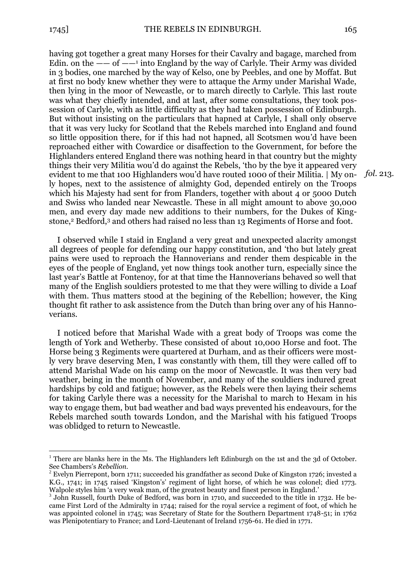1

having got together a great many Horses for their Cavalry and bagage, marched from Edin. on the  $-\text{ }-$  of  $-\text{ }$ <sup>1</sup> into England by the way of Carlyle. Their Army was divided in 3 bodies, one marched by the way of Kelso, one by Peebles, and one by Moffat. But at first no body knew whether they were to attaque the Army under Marishal Wade, then lying in the moor of Newcastle, or to march directly to Carlyle. This last route was what they chiefly intended, and at last, after some consultations, they took possession of Carlyle, with as little difficulty as they had taken possession of Edinburgh. But without insisting on the particulars that hapned at Carlyle, I shall only observe that it was very lucky for Scotland that the Rebels marched into England and found so little opposition there, for if this had not hapned, all Scotsmen wou'd have been reproached either with Cowardice or disaffection to the Government, for before the Highlanders entered England there was nothing heard in that country but the mighty things their very Militia wou'd do against the Rebels, 'tho by the bye it appeared very evident to me that 100 Highlanders wou'd have routed 1000 of their Militia. | My only hopes, next to the assistence of almighty God, depended entirely on the Troops which his Majesty had sent for from Flanders, together with about 4 or 5000 Dutch and Swiss who landed near Newcastle. These in all might amount to above 30,000 men, and every day made new additions to their numbers, for the Dukes of Kingstone,<sup>2</sup> Bedford,<sup>3</sup> and others had raised no less than 13 Regiments of Horse and foot.

I observed while I staid in England a very great and unexpected alacrity amongst all degrees of people for defending our happy constitution, and 'tho but lately great pains were used to reproach the Hannoverians and render them despicable in the eyes of the people of England, yet now things took another turn, especially since the last year's Battle at Fontenoy, for at that time the Hannoverians behaved so well that many of the English souldiers protested to me that they were willing to divide a Loaf with them. Thus matters stood at the begining of the Rebellion; however, the King thought fit rather to ask assistence from the Dutch than bring over any of his Hannoverians.

I noticed before that Marishal Wade with a great body of Troops was come the length of York and Wetherby. These consisted of about 10,000 Horse and foot. The Horse being 3 Regiments were quartered at Durham, and as their officers were mostly very brave deserving Men, I was constantly with them, till they were called off to attend Marishal Wade on his camp on the moor of Newcastle. It was then very bad weather, being in the month of November, and many of the souldiers indured great hardships by cold and fatigue; however, as the Rebels were then laying their schems for taking Carlyle there was a necessity for the Marishal to march to Hexam in his way to engage them, but bad weather and bad ways prevented his endeavours, for the Rebels marched south towards London, and the Marishal with his fatigued Troops was oblidged to return to Newcastle.

*fol.* 213.

 $<sup>1</sup>$  There are blanks here in the Ms. The Highlanders left Edinburgh on the 1st and the 3d of October.</sup> See Chambers's *Rebellion.*

 $2$  Evelyn Pierrepont, born 1711; succeeded his grandfather as second Duke of Kingston 1726; invested a K.G., 1741; in 1745 raised 'Kingston's' regiment of light horse, of which he was colonel; died 1773. Walpole styles him 'a very weak man, of the greatest beauty and finest person in England.'

<sup>&</sup>lt;sup>3</sup> John Russell, fourth Duke of Bedford, was born in 1710, and succeeded to the title in 1732. He became First Lord of the Admiralty in 1744; raised for the royal service a regiment of foot, of which he was appointed colonel in 1745; was Secretary of State for the Southern Department 1748-51; in 1762 was Plenipotentiary to France; and Lord-Lieutenant of Ireland 1756-61. He died in 1771.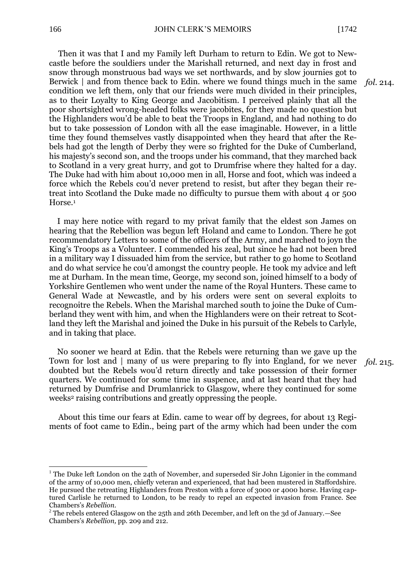Then it was that I and my Family left Durham to return to Edin. We got to Newcastle before the souldiers under the Marishall returned, and next day in frost and snow through monstruous bad ways we set northwards, and by slow journies got to Berwick | and from thence back to Edin. where we found things much in the same condition we left them, only that our friends were much divided in their principles, as to their Loyalty to King George and Jacobitism. I perceived plainly that all the poor shortsighted wrong-headed folks were jacobites, for they made no question but the Highlanders wou'd be able to beat the Troops in England, and had nothing to do but to take possession of London with all the ease imaginable. However, in a little time they found themselves vastly disappointed when they heard that after the Rebels had got the length of Derby they were so frighted for the Duke of Cumberland, his majesty's second son, and the troops under his command, that they marched back to Scotland in a very great hurry, and got to Drumfrise where they halted for a day. The Duke had with him about 10,000 men in all, Horse and foot, which was indeed a force which the Rebels cou'd never pretend to resist, but after they began their retreat into Scotland the Duke made no difficulty to pursue them with about 4 or 500 Horse.<sup>1</sup>

I may here notice with regard to my privat family that the eldest son James on hearing that the Rebellion was begun left Holand and came to London. There he got recommendatory Letters to some of the officers of the Army, and marched to joyn the King's Troops as a Volunteer. I commended his zeal, but since he had not been bred in a military way I dissuaded him from the service, but rather to go home to Scotland and do what service he cou'd amongst the country people. He took my advice and left me at Durham. In the mean time, George, my second son, joined himself to a body of Yorkshire Gentlemen who went under the name of the Royal Hunters. These came to General Wade at Newcastle, and by his orders were sent on several exploits to recognoitre the Rebels. When the Marishal marched south to joine the Duke of Cumberland they went with him, and when the Highlanders were on their retreat to Scotland they left the Marishal and joined the Duke in his pursuit of the Rebels to Carlyle, and in taking that place.

No sooner we heard at Edin. that the Rebels were returning than we gave up the Town for lost and | many of us were preparing to fly into England, for we never doubted but the Rebels wou'd return directly and take possession of their former quarters. We continued for some time in suspence, and at last heard that they had returned by Dumfrise and Drumlanrick to Glasgow, where they continued for some weeks<sup>2</sup> raising contributions and greatly oppressing the people.

About this time our fears at Edin. came to wear off by degrees, for about 13 Regiments of foot came to Edin., being part of the army which had been under the com

*fol.* 214.

*fol.* 215.

1

<sup>&</sup>lt;sup>1</sup> The Duke left London on the 24th of November, and superseded Sir John Ligonier in the command of the army of 10,000 men, chiefly veteran and experienced, that had been mustered in Staffordshire. He pursued the retreating Highlanders from Preston with a force of 3000 or 4000 horse. Having captured Carlisle he returned to London, to be ready to repel an expected invasion from France. See Chambers's *Rebellion.*

<sup>2</sup> The rebels entered Glasgow on the 25th and 26th December, and left on the 3d of January.—See Chambers's *Rebellion,* pp. 209 and 212.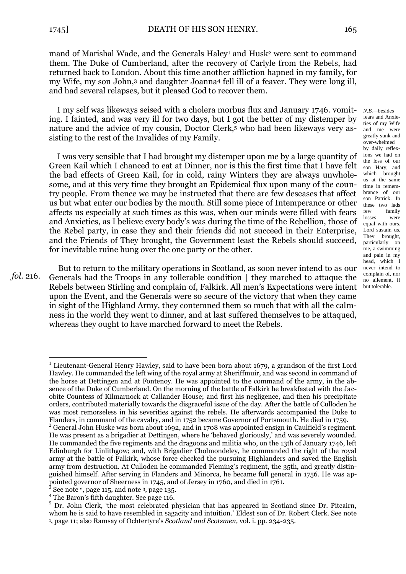mand of Marishal Wade, and the Generals Haley<sup>1</sup> and Husk<sup>2</sup> were sent to command them. The Duke of Cumberland, after the recovery of Carlyle from the Rebels, had returned back to London. About this time another affliction hapned in my family, for my Wife, my son John,<sup>3</sup> and daughter Joanna<sup>4</sup> fell ill of a feaver. They were long ill,

I my self was likeways seised with a cholera morbus flux and January 1746. vomiting. I fainted, and was very ill for two days, but I got the better of my distemper by nature and the advice of my cousin, Doctor Clerk,<sup>5</sup> who had been likeways very assisting to the rest of the Invalides of my Family.

and had several relapses, but it pleased God to recover them.

I was very sensible that I had brought my distemper upon me by a large quantity of Green Kail which I chanced to eat at Dinner, nor is this the first time that I have felt the bad effects of Green Kail, for in cold, rainy Winters they are always unwholesome, and at this very time they brought an Epidemical flux upon many of the country people. From thence we may be instructed that there are few deseases that affect us but what enter our bodies by the mouth. Still some piece of Intemperance or other affects us especially at such times as this was, when our minds were filled with fears and Anxieties, as I believe every body's was during the time of the Rebellion, those of the Rebel party, in case they and their friends did not succeed in their Enterprise, and the Friends of They brought, the Government least the Rebels should succeed, for inevitable ruine hung over the one party or the other.

*fol.* 216.

1

But to return to the military operations in Scotland, as soon never intend to as our Generals had the Troops in any tollerable condition | they marched to attaque the Rebels between Stirling and complain of, Falkirk. All men's Expectations were intent upon the Event, and the Generals were so secure of the victory that when they came in sight of the Highland Army, they contemned them so much that with all the calmness in the world they went to dinner, and at last suffered themselves to be attaqued, whereas they ought to have marched forward to meet the Rebels.

*N.B.—*besides

fears and Anxieties of my Wife and me were greatly sunk and over-whelmed by daily reflexions we had on the loss of our son Hary, and which brought us at the same time in remembrance of our son Patrick. In these two lads few family losses were equal with ours. Lord sustain us. They brought, particularly on me, a swimming and pain in my head, which I never intend to complain of, nor no ailement, if but tolerable.

<sup>&</sup>lt;sup>1</sup> Lieutenant-General Henry Hawley, said to have been born about 1679, a grandson of the first Lord Hawley. He commanded the left wing of the royal army at Sheriffmuir, and was second in command of the horse at Dettingen and at Fontenoy. He was appointed to the command of the army, in the absence of the Duke of Cumberland. On the morning of the battle of Falkirk he breakfasted with the Jacobite Countess of Kilmarnock at Callander House; and first his negligence, and then his precipitate orders, contributed materially towards the disgraceful issue of the day. After the battle of Culloden he was most remorseless in his severities against the rebels. He afterwards accompanied the Duke to Flanders, in command of the cavalry, and in 1752 became Governor of Portsmouth. He died in 1759.

 $2$  General John Huske was born about 1692, and in 1708 was appointed ensign in Caulfield's regiment. He was present as a brigadier at Dettingen, where he 'behaved gloriously,' and was severely wounded. He commanded the five regiments and the dragoons and militia who, on the 13th of January 1746, left Edinburgh for Linlithgow; and, with Brigadier Cholmondeley, he commanded the right of the royal army at the battle of Falkirk, whose force checked the pursuing Highlanders and saved the English army from destruction. At Culloden he commanded Fleming's regiment, the 35th, and greatly distinguished himself. After serving in Flanders and Minorca, he became full general in 1756. He was appointed governor of Sheerness in 1745, and of Jersey in 1760, and died in 1761.

See note<sup>2</sup>, page 115, and note<sup>3</sup>, page 135.

<sup>&</sup>lt;sup>4</sup> The Baron's fifth daughter. See page 116.

<sup>&</sup>lt;sup>5</sup> Dr. John Clerk, 'the most celebrated physician that has appeared in Scotland since Dr. Pitcairn, whom he is said to have resembled in sagacity and intuition.' Eldest son of Dr. Robert Clerk. See note 1 , page 11; also Ramsay of Ochtertyre's *Scotland and Scotsmen,* vol. i. pp. 234-235.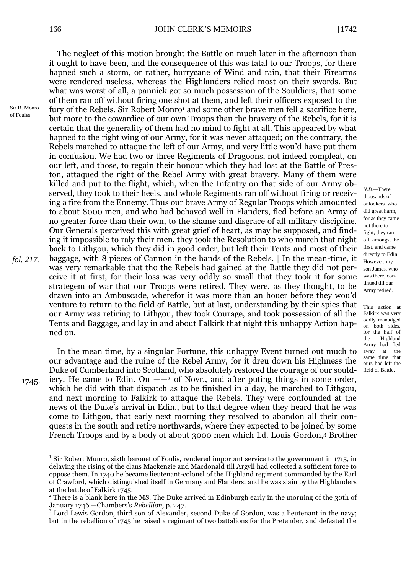The neglect of this motion brought the Battle on much later in the afternoon than it ought to have been, and the consequence of this was fatal to our Troops, for there hapned such a storm, or rather, hurrycane of Wind and rain, that their Firearms were rendered useless, whereas the Highlanders relied most on their swords. But what was worst of all, a pannick got so much possession of the Souldiers, that some of them ran off without firing one shot at them, and left their officers exposed to the fury of the Rebels. Sir Robert Monro<sup>1</sup> and some other brave men fell a sacrifice here, but more to the cowardice of our own Troops than the bravery of the Rebels, for it is certain that the generality of them had no mind to fight at all. This appeared by what hapned to the right wing of our Army, for it was never attaqued; on the contrary, the Rebels marched to attaque the left of our Army, and very little wou'd have put them in confusion. We had two or three Regiments of Dragoons, not indeed compleat, on our left, and those, to regain their honour which they had lost at the Battle of Preston, attaqued the right of the Rebel Army with great bravery. Many of them were killed and put to the flight, which, when the Infantry on that side of our Army observed, they took to their heels, and whole Regiments ran off without firing or receiving a fire from the Ennemy. Thus our brave Army of Regular Troops which amounted to about 8000 men, and who had behaved well in Flanders, fled before an Army of no greater force than their own, to the shame and disgrace of all military discipline. Our Generals perceived this with great grief of heart, as may be supposed, and finding it impossible to raly their men, they took the Resolution to who march that night back to Lithgou, which they did in good order, but left their Tents and most of their baggage, with 8 pieces of Cannon in the hands of the Rebels. | In the mean-time, it was very remarkable that tho the Rebels had gained at the Battle they did not perceive it at first, for their loss was very oddly so small that they took it for some strategem of war that our Troops were retired. They were, as they thought, to be drawn into an Ambuscade, wherefor it was more than an houer before they wou'd venture to return to the field of Battle, but at last, understanding by their spies that our Army was retiring to Lithgou, they took Courage, and took possession of all the Tents and Baggage, and lay in and about Falkirk that night this unhappy Action hapned on.

In the mean time, by a singular Fortune, this unhappy Event turned out much to our advantage and the ruine of the Rebel Army, for it dreu down his Highness the Duke of Cumberland into Scotland, who absolutely restored the courage of our souldiery. He came to Edin. On  $-\frac{2}{3}$  of Novr., and after puting things in some order, which he did with that dispatch as to be finished in a day, he marched to Lithgou, and next morning to Falkirk to attaque the Rebels. They were confounded at the news of the Duke's arrival in Edin., but to that degree when they heard that he was come to Lithgou, that early next morning they resolved to abandon all their conquests in the south and retire northwards, where they expected to be joined by some French Troops and by a body of about 3000 men which Ld. Louis Gordon,<sup>3</sup> Brother 1745.

Sir R. Monro of Foules.

1

onlookers who did great harm, for as they came not there to fight, they ran off amongst the first, and came directly to Edin. However, my son James, who was there, continued till our Army retired.

*N.B.—*There thousands of

This action at Falkirk was very oddly manadged on both sides, for the half of the Highland Army had fled away at the same time that ours had left the field of Battle.

<sup>&</sup>lt;sup>1</sup> Sir Robert Munro, sixth baronet of Foulis, rendered important service to the government in 1715, in delaying the rising of the clans Mackenzie and Macdonald till Argyll had collected a sufficient force to oppose them. In 1740 he became lieutenant-colonel of the Highland regiment commanded by the Earl of Crawford, which distinguished itself in Germany and Flanders; and he was slain by the Highlanders at the battle of Falkirk 1745.

<sup>&</sup>lt;sup>2</sup> There is a blank here in the MS. The Duke arrived in Edinburgh early in the morning of the 30th of January 1746.—Chambers's *Rebellion,* p. 247.

<sup>&</sup>lt;sup>3</sup> Lord Lewis Gordon, third son of Alexander, second Duke of Gordon, was a lieutenant in the navy; but in the rebellion of 1745 he raised a regiment of two battalions for the Pretender, and defeated the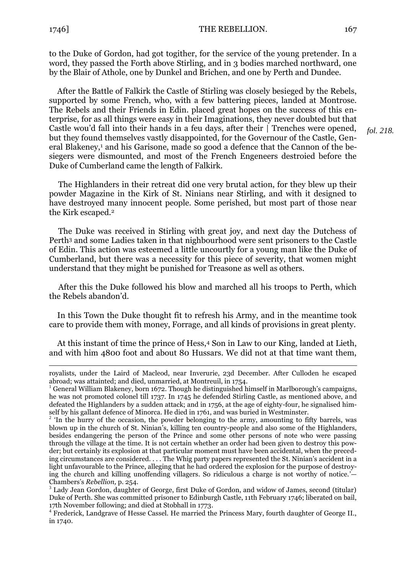1

1746] THE REBELLION. 167

to the Duke of Gordon, had got togither, for the service of the young pretender. In a word, they passed the Forth above Stirling, and in 3 bodies marched northward, one by the Blair of Athole, one by Dunkel and Brichen, and one by Perth and Dundee.

After the Battle of Falkirk the Castle of Stirling was closely besieged by the Rebels, supported by some French, who, with a few battering pieces, landed at Montrose. The Rebels and their Friends in Edin. placed great hopes on the success of this enterprise, for as all things were easy in their Imaginations, they never doubted but that Castle wou'd fall into their hands in a feu days, after their | Trenches were opened, but they found themselves vastly disappointed, for the Governour of the Castle, General Blakeney,<sup>1</sup> and his Garisone, made so good a defence that the Cannon of the besiegers were dismounted, and most of the French Engeneers destroied before the Duke of Cumberland came the length of Falkirk.

The Highlanders in their retreat did one very brutal action, for they blew up their powder Magazine in the Kirk of St. Ninians near Stirling, and with it designed to have destroyed many innocent people. Some perished, but most part of those near the Kirk escaped.<sup>2</sup>

The Duke was received in Stirling with great joy, and next day the Dutchess of Perth<sup>3</sup> and some Ladies taken in that nighbourhood were sent prisoners to the Castle of Edin. This action was esteemed a little uncourtly for a young man like the Duke of Cumberland, but there was a necessity for this piece of severity, that women might understand that they might be punished for Treasone as well as others.

After this the Duke followed his blow and marched all his troops to Perth, which the Rebels abandon'd.

In this Town the Duke thought fit to refresh his Army, and in the meantime took care to provide them with money, Forrage, and all kinds of provisions in great plenty.

At this instant of time the prince of Hess,<sup>4</sup> Son in Law to our King, landed at Lieth, and with him 4800 foot and about 80 Hussars. We did not at that time want them,

*fol. 218.*

royalists, under the Laird of Macleod, near Inverurie, 23d December. After Culloden he escaped abroad; was attainted; and died, unmarried, at Montreuil, in 1754.

<sup>&</sup>lt;sup>1</sup> General William Blakeney, born 1672. Though he distinguished himself in Marlborough's campaigns, he was not promoted colonel till 1737. In 1745 he defended Stirling Castle, as mentioned above, and defeated the Highlanders by a sudden attack; and in 1756, at the age of eighty-four, he signalised himself by his gallant defence of Minorca. He died in 1761, and was buried in Westminster.

 $2<sup>2</sup>$  'In the hurry of the occasion, the powder belonging to the army, amounting to fifty barrels, was blown up in the church of St. Ninian's, killing ten country-people and also some of the Highlanders, besides endangering the person of the Prince and some other persons of note who were passing through the village at the time. It is not certain whether an order had been given to destroy this powder; but certainly its explosion at that particular moment must have been accidental, when the preceding circumstances are considered. . . . The Whig party papers represented the St. Ninian's accident in a light unfavourable to the Prince, alleging that he had ordered the explosion for the purpose of destroying the church and killing unoffending villagers. So ridiculous a charge is not worthy of notice.'— Chambers's *Rebellion,* p. 254.

<sup>&</sup>lt;sup>3</sup> Lady Jean Gordon, daughter of George, first Duke of Gordon, and widow of James, second (titular) Duke of Perth. She was committed prisoner to Edinburgh Castle, 11th February 1746; liberated on bail, 17th November following; and died at Stobhall in 1773.

<sup>&</sup>lt;sup>4</sup> Frederick, Landgrave of Hesse Cassel. He married the Princess Mary, fourth daughter of George II., in 1740.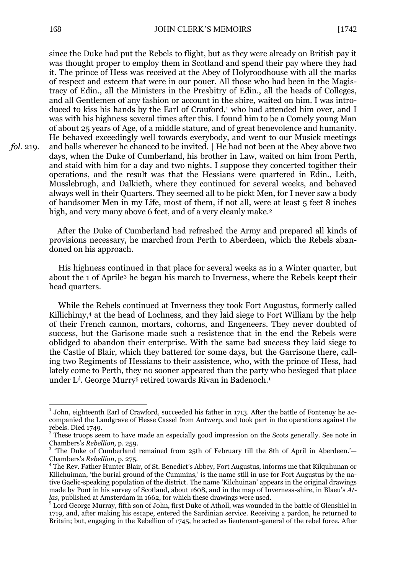since the Duke had put the Rebels to flight, but as they were already on British pay it was thought proper to employ them in Scotland and spend their pay where they had it. The prince of Hess was received at the Abey of Holyroodhouse with all the marks of respect and esteem that were in our pouer. All those who had been in the Magistracy of Edin., all the Ministers in the Presbitry of Edin., all the heads of Colleges, and all Gentlemen of any fashion or account in the shire, waited on him. I was introduced to kiss his hands by the Earl of Crauford, $1$  who had attended him over, and I was with his highness several times after this. I found him to be a Comely young Man of about 25 years of Age, of a middle stature, and of great benevolence and humanity. He behaved exceedingly well towards everybody, and went to our Musick meetings and balls wherever he chanced to be invited. | He had not been at the Abey above two days, when the Duke of Cumberland, his brother in Law, waited on him from Perth, and staid with him for a day and two nights. I suppose they concerted togither their operations, and the result was that the Hessians were quartered in Edin., Leith, Musslebrugh, and Dalkieth, where they continued for several weeks, and behaved always well in their Quarters. They seemed all to be pickt Men, for I never saw a body of handsomer Men in my Life, most of them, if not all, were at least 5 feet 8 inches high, and very many above 6 feet, and of a very cleanly make.<sup>2</sup>

After the Duke of Cumberland had refreshed the Army and prepared all kinds of provisions necessary, he marched from Perth to Aberdeen, which the Rebels abandoned on his approach.

His highness continued in that place for several weeks as in a Winter quarter, but about the 1 of Aprile<sup>3</sup> he began his march to Inverness, where the Rebels keept their head quarters.

While the Rebels continued at Inverness they took Fort Augustus, formerly called Killichimy,<sup>4</sup> at the head of Lochness, and they laid siege to Fort William by the help of their French cannon, mortars, cohorns, and Engeneers. They never doubted of success, but the Garisone made such a resistence that in the end the Rebels were oblidged to abandon their enterprise. With the same bad success they laid siege to the Castle of Blair, which they battered for some days, but the Garrisone there, calling two Regiments of Hessians to their assistence, who, with the prince of Hess, had lately come to Perth, they no sooner appeared than the party who besieged that place under L<sup>d</sup>. George Murry<sup>5</sup> retired towards Rivan in Badenoch.<sup>1</sup>

1

<sup>&</sup>lt;sup>1</sup> John, eighteenth Earl of Crawford, succeeded his father in 1713. After the battle of Fontenoy he accompanied the Landgrave of Hesse Cassel from Antwerp, and took part in the operations against the rebels. Died 1749.

<sup>&</sup>lt;sup>2</sup> These troops seem to have made an especially good impression on the Scots generally. See note in Chambers's *Rebellion,* p. 259.

<sup>&</sup>lt;sup>3</sup> 'The Duke of Cumberland remained from 25th of February till the 8th of April in Aberdeen.'— Chambers's *Rebellion,* p. 275.

<sup>4</sup> The Rev. Father Hunter Blair, of St. Benedict's Abbey, Fort Augustus, informs me that Kilquhunan or Kilichuiman, 'the burial ground of the Cummins,' is the name still in use for Fort Augustus by the native Gaelic-speaking population of the district. The name 'Kilchuinan' appears in the original drawings made by Pont in his survey of Scotland, about 1608, and in the map of Inverness-shire, in Blaeu's *Atlas,* published at Amsterdam in 1662, for which these drawings were used.

<sup>&</sup>lt;sup>5</sup> Lord George Murray, fifth son of John, first Duke of Atholl, was wounded in the battle of Glenshiel in 1719, and, after making his escape, entered the Sardinian service. Receiving a pardon, he returned to Britain; but, engaging in the Rebellion of 1745, he acted as lieutenant-general of the rebel force. After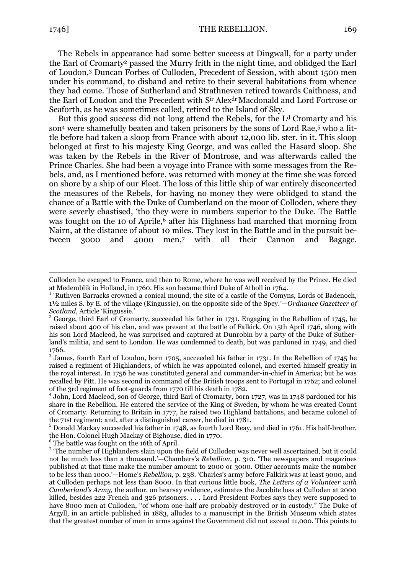<u>.</u>

The Rebels in appearance had some better success at Dingwall, for a party under the Earl of Cromarty<sup>2</sup> passed the Murry frith in the night time, and oblidged the Earl of Loudon,<sup>3</sup> Duncan Forbes of Culloden, Precedent of Session, with about 1500 men under his command, to disband and retire to their several habitations from whence they had come. Those of Sutherland and Strathneven retired towards Caithness, and the Earl of Loudon and the Precedent with Sir Alexdr Macdonald and Lord Fortrose or Seaforth, as he was sometimes called, retired to the Island of Sky.

But this good success did not long attend the Rebels, for the  $L<sup>d</sup>$  Cromarty and his son<sup>4</sup> were shamefully beaten and taken prisoners by the sons of Lord Rae,<sup>5</sup> who a little before had taken a sloop from France with about 12,000 lib. ster. in it. This sloop belonged at first to his majesty King George, and was called the Hasard sloop. She was taken by the Rebels in the River of Montrose, and was afterwards called the Prince Charles. She had been a voyage into France with some messages from the Rebels, and, as I mentioned before, was returned with money at the time she was forced on shore by a ship of our Fleet. The loss of this little ship of war entirely disconcerted the measures of the Rebels, for having no money they were oblidged to stand the chance of a Battle with the Duke of Cumberland on the moor of Colloden, where they were severly chastised, 'tho they were in numbers superior to the Duke. The Battle was fought on the 10 of Aprile,<sup>6</sup> after his Highness had marched that morning from Nairn, at the distance of about 10 miles. They lost in the Battle and in the pursuit between 3000 and 4000 men,<sup>7</sup> with all their Cannon and Bagage.

<sup>6</sup> The battle was fought on the 16th of April.

Culloden he escaped to France, and then to Rome, where he was well received by the Prince. He died at Medemblik in Holland, in 1760. His son became third Duke of Atholl in 1764.

<sup>&</sup>lt;sup>1</sup> 'Ruthven Barracks crowned a conical mound, the site of a castle of the Comyns, Lords of Badenoch, 1½ miles S. by E. of the village (Kingussie), on the opposite side of the Spey.'—*Ordnance Gazetteer of Scotland,* Article 'Kingussie.'

 $2$  George, third Earl of Cromarty, succeeded his father in 1731. Engaging in the Rebellion of 1745, he raised about 400 of his clan, and was present at the battle of Falkirk. On 15th April 1746, along with his son Lord Macleod, he was surprised and captured at Dunrobin by a party of the Duke of Sutherland's militia, and sent to London. He was condemned to death, but was pardoned in 1749, and died 1766.

 $3\overline{3}$  James, fourth Earl of Loudon, born 1705, succeeded his father in 1731. In the Rebellion of 1745 he raised a regiment of Highlanders, of which he was appointed colonel, and exerted himself greatly in the royal interest. In 1756 he was constituted general and commander-in-chief in America; but he was recalled by Pitt. He was second in command of the British troops sent to Portugal in 1762; and colonel of the 3rd regiment of foot-guards from 1770 till his death in 1782.

<sup>4</sup> John, Lord Macleod, son of George, third Earl of Cromarty, born 1727, was in 1748 pardoned for his share in the Rebellion. He entered the service of the King of Sweden, by whom he was created Count of Cromarty. Returning to Britain in 1777, he raised two Highland battalions, and became colonel of the 71st regiment; and, after a distinguished career, he died in 1781.

<sup>5</sup> Donald Mackay succeeded his father in 1748, as fourth Lord Reay, and died in 1761. His half-brother, the Hon. Colonel Hugh Mackay of Bighouse, died in 1770.

<sup>&</sup>lt;sup>7</sup> 'The number of Highlanders slain upon the field of Culloden was never well ascertained, but it could not be much less than a thousand.'—Chambers's *Rebellion,* p. 310. 'The newspapers and magazines published at that time make the number amount to 2000 or 3000. Other accounts make the number to be less than 1000.'—Home's *Rebellion,* p. 238. 'Charles's army before Falkirk was at least 9000, and at Culloden perhaps not less than 8000. In that curious little book, *The Letters of a Volunteer with Cumberland's Army,* the author, on hearsay evidence, estimates the Jacobite loss at Culloden at 2000 killed, besides 222 French and 326 prisoners. . . . Lord President Forbes says they were supposed to have 8000 men at Culloden, "of whom one-half are probably destroyed or in custody." The Duke of Argyll, in an article published in 1883, alludes to a manuscript in the British Museum which states that the greatest number of men in arms against the Government did not exceed 11,000. This points to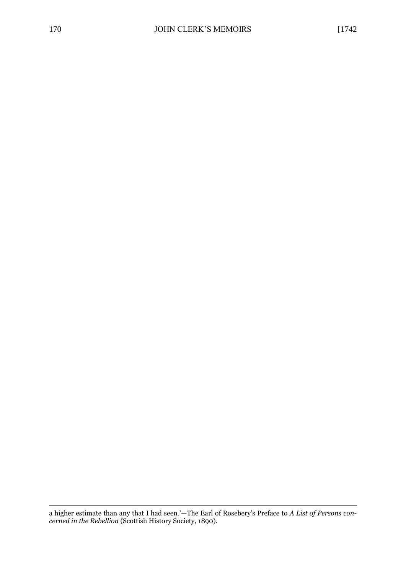1 a higher estimate than any that I had seen.'—The Earl of Rosebery's Preface to *A List of Persons concerned in the Rebellion* (Scottish History Society, 1890).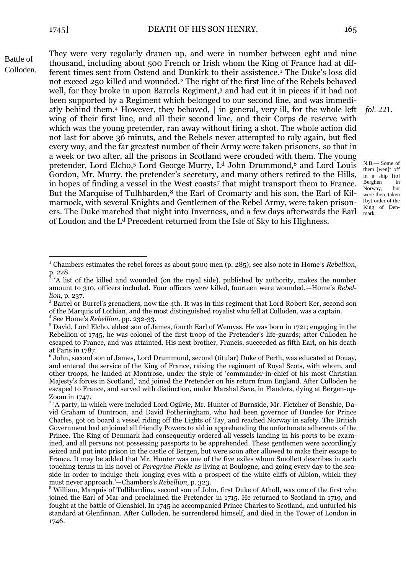<u>.</u>

Battle of Colloden. They were very regularly drauen up, and were in number between eght and nine thousand, including about 500 French or Irish whom the King of France had at different times sent from Ostend and Dunkirk to their assistence.<sup>1</sup> The Duke's loss did not exceed 250 killed and wounded.<sup>2</sup> The right of the first line of the Rebels behaved well, for they broke in upon Barrels Regiment,<sup>3</sup> and had cut it in pieces if it had not been supported by a Regiment which belonged to our second line, and was immediatly behind them.<sup>4</sup> However, they behaved, | in general, very ill, for the whole left wing of their first line, and all their second line, and their Corps de reserve with which was the young pretender, ran away without firing a shot. The whole action did not last for above 36 minuts, and the Rebels never attempted to raly again, but fled every way, and the far greatest number of their Army were taken prisoners, so that in a week or two after, all the prisons in Scotland were crouded with them. The young pretender, Lord Elcho,<sup>5</sup> Lord George Murry, L<sup>d</sup> John Drummond,<sup>6</sup> and Lord Louis Gordon, Mr. Murry, the pretender's secretary, and many others retired to the Hills, in hopes of finding a vessel in the West coasts<sup>7</sup> that might transport them to France. But the Marquise of Tulhbarden,<sup>8</sup> the Earl of Cromarty and his son, the Earl of Kilmarnock, with several Knights and Gentlemen of the Rebel Army, were taken prisoners. The Duke marched that night into Inverness, and a few days afterwards the Earl of Loudon and the L<sup>d</sup> Precedent returned from the Isle of Sky to his Highness.

*fol.* 221.

 $N.B.$  Some of them [wen]t off in a ship [to] Berghen in Norway, but were there taken [by] order of the King of Denmark.

<sup>1</sup> Chambers estimates the rebel forces as about 5000 men (p. 285); see also note in Home's *Rebellion,*   $\frac{p}{2}$ . 228.

<sup>&#</sup>x27;A list of the killed and wounded (on the royal side), published by authority, makes the number amount to 310, officers included. Four officers were killed, fourteen were wounded.—Home's *Rebellion,* p. 237.

<sup>3</sup> Barrel or Burrel's grenadiers, now the 4th. It was in this regiment that Lord Robert Ker, second son of the Marquis of Lothian, and the most distinguished royalist who fell at Culloden, was a captain.

<sup>4</sup> See Home's *Rebellion,* pp. 232-33.

<sup>5</sup> David, Lord Elcho, eldest son of James, fourth Earl of Wemyss. He was born in 1721; engaging in the Rebellion of 1745, he was colonel of the first troop of the Pretender's life-guards; after Culloden he escaped to France, and was attainted. His next brother, Francis, succeeded as fifth Earl, on his death at Paris in 1787.

<sup>6</sup> John, second son of James, Lord Drummond, second (titular) Duke of Perth, was educated at Douay, and entered the service of the King of France, raising the regiment of Royal Scots, with whom, and other troops, he landed at Montrose, under the style of 'commander-in-chief of his most Christian Majesty's forces in Scotland,' and joined the Pretender on his return from England. After Culloden he escaped to France, and served with distinction, under Marshal Saxe, in Flanders, dying at Bergen-op-Zoom in 1747.

<sup>&</sup>lt;sup>7</sup> 'A party, in which were included Lord Ogilvie, Mr. Hunter of Burnside, Mr. Fletcher of Benshie, David Graham of Duntroon, and David Fotheringham, who had been governor of Dundee for Prince Charles, got on board a vessel riding off the Lights of Tay, and reached Norway in safety. The British Government had enjoined all friendly Powers to aid in apprehending the unfortunate adherents of the Prince. The King of Denmark had consequently ordered all vessels landing in his ports to be examined, and all persons not possessing passports to be apprehended. These gentlemen were accordingly seized and put into prison in the castle of Bergen, but were soon after allowed to make their escape to France. It may be added that Mr. Hunter was one of the five exiles whom Smollett describes in such touching terms in his novel of *Peregrine Pickle* as living at Boulogne, and going every day to the seaside in order to indulge their longing eyes with a prospect of the white cliffs of Albion, which they must never approach.'—Chambers's *Rebellion,* p. 323.

<sup>8</sup> William, Marquis of Tullibardine, second son of John, first Duke of Atholl, was one of the first who joined the Earl of Mar and proclaimed the Pretender in 1715. He returned to Scotland in 1719, and fought at the battle of Glenshiel. In 1745 he accompanied Prince Charles to Scotland, and unfurled his standard at Glenfinnan. After Culloden, he surrendered himself, and died in the Tower of London in 1746.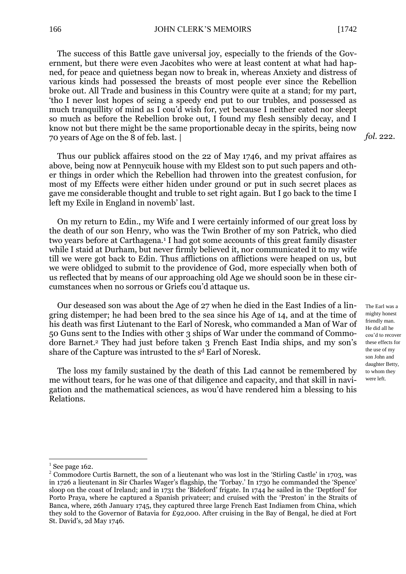The success of this Battle gave universal joy, especially to the friends of the Government, but there were even Jacobites who were at least content at what had hapned, for peace and quietness began now to break in, whereas Anxiety and distress of various kinds had possessed the breasts of most people ever since the Rebellion broke out. All Trade and business in this Country were quite at a stand; for my part, 'tho I never lost hopes of seing a speedy end put to our trubles, and possessed as much tranquillity of mind as I cou'd wish for, yet because I neither eated nor sleept so much as before the Rebellion broke out, I found my flesh sensibly decay, and I know not but there might be the same proportionable decay in the spirits, being now 70 years of Age on the 8 of feb. last. |

Thus our publick affaires stood on the 22 of May 1746, and my privat affaires as above, being now at Pennycuik house with my Eldest son to put such papers and other things in order which the Rebellion had throwen into the greatest confusion, for most of my Effects were either hiden under ground or put in such secret places as gave me considerable thought and truble to set right again. But I go back to the time I left my Exile in England in novemb' last.

On my return to Edin., my Wife and I were certainly informed of our great loss by the death of our son Henry, who was the Twin Brother of my son Patrick, who died two years before at Carthagena.<sup>1</sup> I had got some accounts of this great family disaster while I staid at Durham, but never firmly believed it, nor communicated it to my wife till we were got back to Edin. Thus afflictions on afflictions were heaped on us, but we were oblidged to submit to the providence of God, more especially when both of us reflected that by means of our approaching old Age we should soon be in these circumstances when no sorrous or Griefs cou'd attaque us.

Our deseased son was about the Age of 27 when he died in the East Indies of a lingring distemper; he had been bred to the sea since his Age of 14, and at the time of his death was first Liutenant to the Earl of Noresk, who commanded a Man of War of 50 Guns sent to the Indies with other 3 ships of War under the command of Commodore Barnet.<sup>2</sup> They had just before taken 3 French East India ships, and my son's share of the Capture was intrusted to the s<sup>d</sup> Earl of Noresk.

The loss my family sustained by the death of this Lad cannot be remembered by me without tears, for he was one of that diligence and capacity, and that skill in navigation and the mathematical sciences, as wou'd have rendered him a blessing to his Relations.

<u>.</u>

The Earl was a mighty honest friendly man. He did all he cou'd to recover these effects for the use of my son John and daughter Betty, to whom they were left.

 $1$  See page 162.

<sup>&</sup>lt;sup>2</sup> Commodore Curtis Barnett, the son of a lieutenant who was lost in the 'Stirling Castle' in 1703, was in 1726 a lieutenant in Sir Charles Wager's flagship, the 'Torbay.' In 1730 he commanded the 'Spence' sloop on the coast of Ireland; and in 1731 the 'Bideford' frigate. In 1744 he sailed in the 'Deptford' for Porto Praya, where he captured a Spanish privateer; and cruised with the 'Preston' in the Straits of Banca, where, 26th January 1745, they captured three large French East Indiamen from China, which they sold to the Governor of Batavia for £92,000. After cruising in the Bay of Bengal, he died at Fort St. David's, 2d May 1746.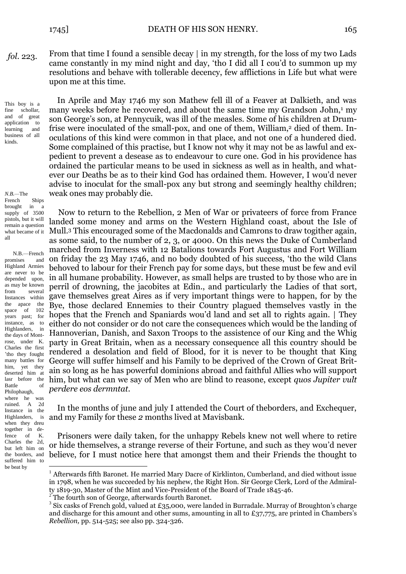From that time I found a sensible decay | in my strength, for the loss of my two Lads came constantly in my mind night and day, 'tho I did all I cou'd to summon up my resolutions and behave with tollerable decency, few afflictions in Life but what were upon me at this time. *fol.* 223.

This boy is a fine schollar, and of great application to learning and business of all kinds.

*N.B.—*The French Ships brought in a supply of 3500 pistols, but it will remain a question what became of it all

<u>.</u> N.B.—French promises and Highland Armies are never to be depended upon, as may be known from several Instances within the apace the space of 102 years past; for instance, as to Highlanders, in the days of Montrose, under K. Charles the first 'tho they fought many battles for him, yet they deserted him at lasr before the Battle of Philophaugh, where he was ruined. A 2d Instance in the Highlanders, is when they dreu together in defence of K. Charles the 2d, but left him on the borders, and suffered him to be beat by

In Aprile and May 1746 my son Mathew fell ill of a Feaver at Dalkieth, and was many weeks before he recovered, and about the same time my Grandson John,<sup>1</sup> my son George's son, at Pennycuik, was ill of the measles. Some of his children at Drumfrise were inoculated of the small-pox, and one of them, William,<sup>2</sup> died of them. Inoculations of this kind were common in that place, and not one of a hundered died. Some complained of this practise, but I know not why it may not be as lawful and expedient to prevent a desease as to endeavour to cure one. God in his providence has ordained the particular means to be used in sickness as well as in health, and whatever our Deaths be as to their kind God has ordained them. However, I wou'd never advise to inoculat for the small-pox any but strong and seemingly healthy children; weak ones may probably die.

Now to return to the Rebellion, 2 Men of War or privateers of force from France landed some money and arms on the Western Highland coast, about the Isle of Mull.<sup>3</sup> This encouraged some of the Macdonalds and Camrons to draw togither again, as some said, to the number of 2, 3, or 4000. On this news the Duke of Cumberland marched from Inverness with 12 Batalions towards Fort Augustus and Fort William on friday the 23 May 1746, and no body doubted of his success, 'tho the wild Clans behoved to labour for their French pay for some days, but these must be few and evil in all humane probability. However, as small helps are trusted to by those who are in perril of drowning, the jacobites at Edin., and particularly the Ladies of that sort, gave themselves great Aires as if very important things were to happen, for by the Bye, those declared Ennemies to their Country plagued themselves vastly in the hopes that the French and Spaniards wou'd land and set all to rights again. | They either do not consider or do not care the consequences which would be the landing of Hannoverian, Danish, and Saxon Troops to the assistence of our King and the Whig party in Great Britain, when as a necessary consequence all this country should be rendered a desolation and field of Blood, for it is never to be thought that King George will suffer himself and his Family to be deprived of the Crown of Great Britain so long as he has powerful dominions abroad and faithful Allies who will support him, but what can we say of Men who are blind to reasone, except *quos Jupiter vult perdere eos dermntat.*

In the months of june and july I attended the Court of theborders, and Exchequer, and my Family for these *2* months lived at Mavisbank.

Prisoners were daily taken, for the unhappy Rebels knew not well where to retire or hide themselves, a strange reverse of their Fortune, and such as they wou'd never believe, for I must notice here that amongst them and their Friends the thought to

<sup>1</sup> Afterwards fifth Baronet. He married Mary Dacre of Kirklinton, Cumberland, and died without issue in 1798, when he was succeeded by his nephew, the Right Hon. Sir George Clerk, Lord of the Admiralty 1819-30, Master of the Mint and Vice-President of the Board of Trade 1845-46.

The fourth son of George, afterwards fourth Baronet.

 $3$  Six casks of French gold, valued at £35,000, were landed in Burradale. Murray of Broughton's charge and discharge for this amount and other sums, amounting in all to  $\pounds$ 37,775, are printed in Chambers's *Rebellion,* pp. 514-525; see also pp. 324-326.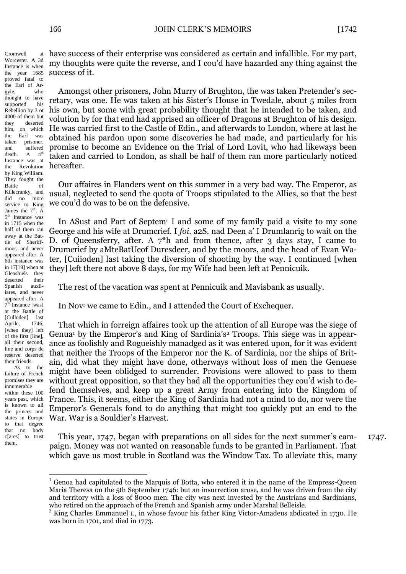Worcester. A 3d Instance is when the year 1685 proved fatal to the Earl of Argyle, who thought to have supported his Rebellion by 3 ot 4000 of them but they deserted him, on which the Earl was taken prisoner, and suffered death.  $A \t 4^{th}$ Instance was at the Revolution by King William. They fought the Battle of Killecranky, and did no more service to King James the  $7<sup>th</sup>$ . A 5<sup>th</sup> Instance was in 1715 when the half of them ran away at the Battle of Sheriffmoor, and never appeared after. A 6th instance was in 17[19] when at Glenshiels they deserted their Spanish auxiliares, and never appeared after. A 7<sup>th</sup> Instance [was] at the Battle of [Culloden] last Aprile, 1746, [when they] left of the first [line], all their second, line and corps de reserve, deserted their friends.

Cromwell at

As to the failure of French promises they are innumerable within these 100 years past, which is known to all the princes and states in Europe to that degree that no body c[ares] to trust them.

1

have success of their enterprise was considered as certain and infallible. For my part, my thoughts were quite the reverse, and I cou'd have hazarded any thing against the success of it.

Amongst other prisoners, John Murry of Brughton, the was taken Pretender's secretary, was one. He was taken at his Sister's House in Twedale, about 5 miles from his own, but some with great probability thought that he intended to be taken, and volution by for that end had apprised an officer of Dragons at Brughton of his design. He was carried first to the Castle of Edin., and afterwards to London, where at last he obtained his pardon upon some discoveries he had made, and particularly for his promise to become an Evidence on the Trial of Lord Lovit, who had likeways been taken and carried to London, as shall be half of them ran more particularly noticed hereafter.

Our affaires in Flanders went on this summer in a very bad way. The Emperor, as usual, neglected to send the quota of Troops stipulated to the Allies, so that the best we cou'd do was to be on the defensive.

In ASust and Part of Septem<sup>r</sup> I and some of my family paid a visite to my sone George and his wife at Drumcrief. I *foi.* a2S. nad Deen a' I Drumlanrig to wait on the D. of Queensferry, after. A  $7^*h$  and from thence, after 3 days stay, I came to Drumcrief by aMteBatUeof Duresdeer, and by the moors, and the head of Evan Water, [Cuiioden] last taking the diversion of shooting by the way. I continued [when they] left there not above 8 days, for my Wife had been left at Pennicuik.

The rest of the vacation was spent at Pennicuik and Mavisbank as usually.

In Nov<sup>r</sup> we came to Edin., and I attended the Court of Exchequer.

That which in forreign affaires took up the attention of all Europe was the siege of Genua<sup>1</sup> by the Emperor's and King of Sardinia's<sup>2</sup> Troops. This siege was in appearance as foolishly and Rogueishly manadged as it was entered upon, for it was evident that neither the Troops of the Emperor nor the K. of Sardinia, nor the ships of Britain, did what they might have done, otherways without loss of men the Genuese might have been oblidged to surrender. Provisions were allowed to pass to them without great opposition, so that they had all the opportunities they cou'd wish to defend themselves, and keep up a great Army from entering into the Kingdom of France. This, it seems, either the King of Sardinia had not a mind to do, nor were the Emperor's Generals fond to do anything that might too quickly put an end to the War. War is a Souldier's Harvest.

This year, 1747, began with preparations on all sides for the next summer's campaign. Money was not wanted on reasonable funds to be granted in Parliament. That which gave us most truble in Scotland was the Window Tax. To alleviate this, many 1747.

 $<sup>1</sup>$  Genoa had capitulated to the Marquis of Botta, who entered it in the name of the Empress-Oueen</sup> Maria Theresa on the 5th September 1746: but an insurrection arose, and he was driven from the city and territory with a loss of 8000 men. The city was next invested by the Austrians and Sardinians, who retired on the approach of the French and Spanish army under Marshal Belleisle.

<sup>&</sup>lt;sup>2</sup> King Charles Emmanuel I., in whose favour his father King Victor-Amadeus abdicated in 1730. He was born in 1701, and died in 1773.